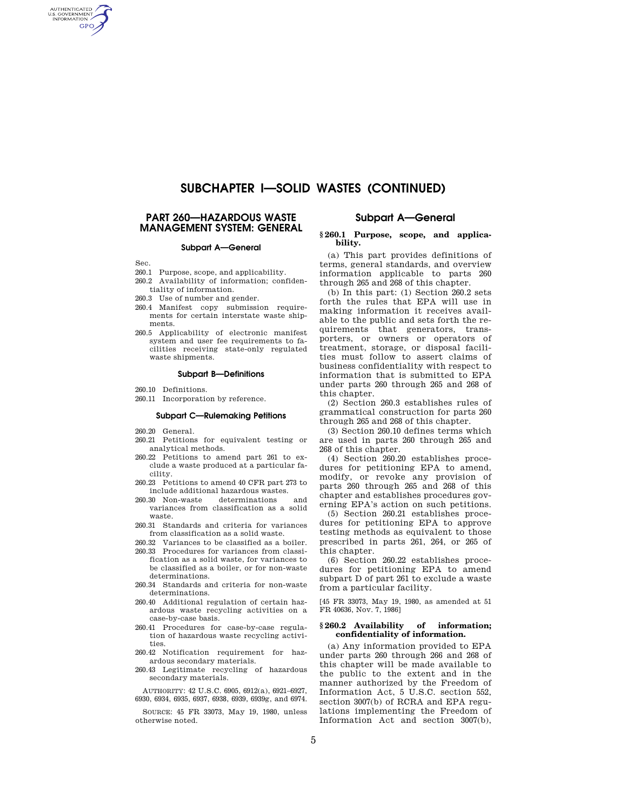# **SUBCHAPTER I—SOLID WASTES (CONTINUED)**

# **PART 260—HAZARDOUS WASTE MANAGEMENT SYSTEM: GENERAL**

### **Subpart A—General**

Sec.

AUTHENTICATED<br>U.S. GOVERNMENT<br>INFORMATION **GPO** 

- 260.1 Purpose, scope, and applicability.
- 260.2 Availability of information; confidentiality of information.
- 260.3 Use of number and gender.
- 260.4 Manifest copy submission requirements for certain interstate waste shipments.
- 260.5 Applicability of electronic manifest system and user fee requirements to facilities receiving state-only regulated waste shipments.

### **Subpart B—Definitions**

- 260.10 Definitions.
- 260.11 Incorporation by reference.

# **Subpart C—Rulemaking Petitions**

- 260.20 General.
- 260.21 Petitions for equivalent testing or analytical methods.
- 260.22 Petitions to amend part 261 to exclude a waste produced at a particular facility.
- 260.23 Petitions to amend 40 CFR part 273 to include additional hazardous wastes.
- 260.30 Non-waste determinations and variances from classification as a solid waste.
- 260.31 Standards and criteria for variances from classification as a solid waste.
- 260.32 Variances to be classified as a boiler.
- 260.33 Procedures for variances from classification as a solid waste, for variances to be classified as a boiler, or for non-waste determinations.
- 260.34 Standards and criteria for non-waste determinations.
- 260.40 Additional regulation of certain hazardous waste recycling activities on a case-by-case basis.
- 260.41 Procedures for case-by-case regulation of hazardous waste recycling activities.
- 260.42 Notification requirement for hazardous secondary materials.
- 260.43 Legitimate recycling of hazardous secondary materials.
- AUTHORITY: 42 U.S.C. 6905, 6912(a), 6921–6927, 6930, 6934, 6935, 6937, 6938, 6939, 6939g, and 6974.

SOURCE: 45 FR 33073, May 19, 1980, unless otherwise noted.

# **Subpart A—General**

# **§ 260.1 Purpose, scope, and applicability.**

(a) This part provides definitions of terms, general standards, and overview information applicable to parts 260 through 265 and 268 of this chapter.

(b) In this part: (1) Section 260.2 sets forth the rules that EPA will use in making information it receives available to the public and sets forth the requirements that generators, transporters, or owners or operators of treatment, storage, or disposal facilities must follow to assert claims of business confidentiality with respect to information that is submitted to EPA under parts 260 through 265 and 268 of this chapter.

(2) Section 260.3 establishes rules of grammatical construction for parts 260 through 265 and 268 of this chapter.

(3) Section 260.10 defines terms which are used in parts 260 through 265 and 268 of this chapter.

(4) Section 260.20 establishes procedures for petitioning EPA to amend, modify, or revoke any provision of parts 260 through 265 and 268 of this chapter and establishes procedures governing EPA's action on such petitions.

(5) Section 260.21 establishes procedures for petitioning EPA to approve testing methods as equivalent to those prescribed in parts 261, 264, or 265 of this chapter.

(6) Section 260.22 establishes procedures for petitioning EPA to amend subpart D of part 261 to exclude a waste from a particular facility.

[45 FR 33073, May 19, 1980, as amended at 51 FR 40636, Nov. 7, 1986]

### **§ 260.2 Availability of information; confidentiality of information.**

(a) Any information provided to EPA under parts 260 through 266 and 268 of this chapter will be made available to the public to the extent and in the manner authorized by the Freedom of Information Act, 5 U.S.C. section 552, section 3007(b) of RCRA and EPA regulations implementing the Freedom of Information Act and section 3007(b),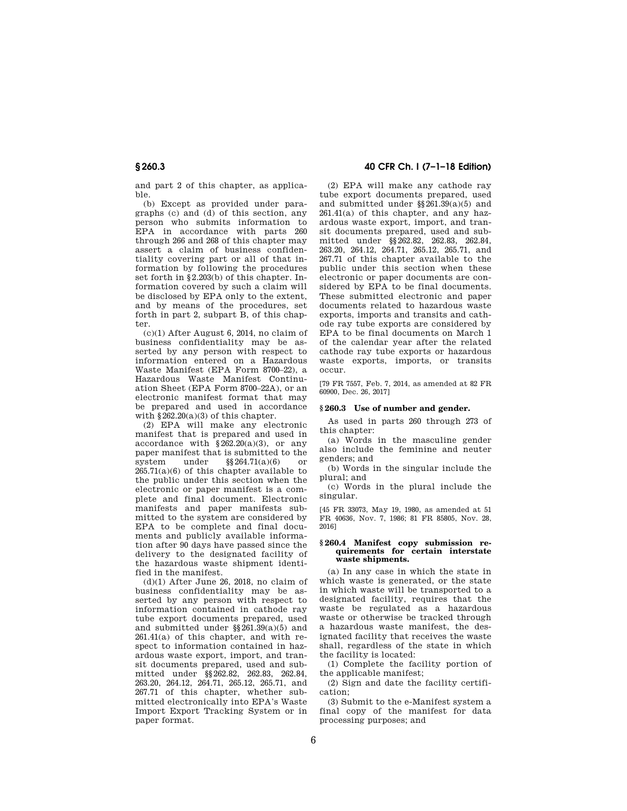and part 2 of this chapter, as applicable.

(b) Except as provided under paragraphs (c) and (d) of this section, any person who submits information to EPA in accordance with parts 260 through 266 and 268 of this chapter may assert a claim of business confidentiality covering part or all of that information by following the procedures set forth in §2.203(b) of this chapter. Information covered by such a claim will be disclosed by EPA only to the extent, and by means of the procedures, set forth in part 2, subpart  $B$ , of this chapter.

(c)(1) After August 6, 2014, no claim of business confidentiality may be asserted by any person with respect to information entered on a Hazardous Waste Manifest (EPA Form 8700–22), a Hazardous Waste Manifest Continuation Sheet (EPA Form 8700–22A), or an electronic manifest format that may be prepared and used in accordance with  $§262.20(a)(3)$  of this chapter.

(2) EPA will make any electronic manifest that is prepared and used in accordance with  $§262.20(a)(3)$ , or any paper manifest that is submitted to the<br>system under  $\frac{\$264.71(a)(6)}{S}$  or system under  $\frac{\$264.71(a)(6)}{c}$  or 265.71(a)(6) of this chapter available to the public under this section when the electronic or paper manifest is a complete and final document. Electronic manifests and paper manifests submitted to the system are considered by EPA to be complete and final documents and publicly available information after 90 days have passed since the delivery to the designated facility of the hazardous waste shipment identified in the manifest.

 $(d)(1)$  After June 26, 2018, no claim of business confidentiality may be asserted by any person with respect to information contained in cathode ray tube export documents prepared, used and submitted under §§261.39(a)(5) and 261.41(a) of this chapter, and with respect to information contained in hazardous waste export, import, and transit documents prepared, used and submitted under §§262.82, 262.83, 262.84, 263.20, 264.12, 264.71, 265.12, 265.71, and 267.71 of this chapter, whether submitted electronically into EPA's Waste Import Export Tracking System or in paper format.

# **§ 260.3 40 CFR Ch. I (7–1–18 Edition)**

(2) EPA will make any cathode ray tube export documents prepared, used and submitted under §§261.39(a)(5) and 261.41(a) of this chapter, and any hazardous waste export, import, and transit documents prepared, used and submitted under §§262.82, 262.83, 262.84, 263.20, 264.12, 264.71, 265.12, 265.71, and 267.71 of this chapter available to the public under this section when these electronic or paper documents are considered by EPA to be final documents. These submitted electronic and paper documents related to hazardous waste exports, imports and transits and cathode ray tube exports are considered by EPA to be final documents on March 1 of the calendar year after the related cathode ray tube exports or hazardous waste exports, imports, or transits occur.

[79 FR 7557, Feb. 7, 2014, as amended at 82 FR 60900, Dec. 26, 2017]

### **§ 260.3 Use of number and gender.**

As used in parts 260 through 273 of this chapter:

(a) Words in the masculine gender also include the feminine and neuter genders; and

(b) Words in the singular include the plural; and

(c) Words in the plural include the singular.

[45 FR 33073, May 19, 1980, as amended at 51 FR 40636, Nov. 7, 1986; 81 FR 85805, Nov. 28, 2016]

### **§ 260.4 Manifest copy submission requirements for certain interstate waste shipments.**

(a) In any case in which the state in which waste is generated, or the state in which waste will be transported to a designated facility, requires that the waste be regulated as a hazardous waste or otherwise be tracked through a hazardous waste manifest, the designated facility that receives the waste shall, regardless of the state in which the facility is located:

(1) Complete the facility portion of the applicable manifest;

(2) Sign and date the facility certification;

(3) Submit to the e-Manifest system a final copy of the manifest for data processing purposes; and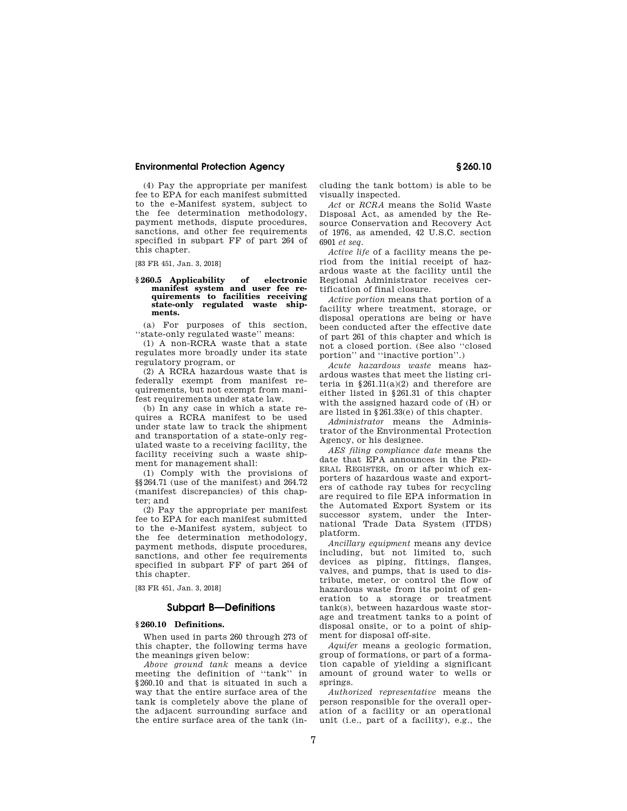(4) Pay the appropriate per manifest fee to EPA for each manifest submitted to the e-Manifest system, subject to the fee determination methodology, payment methods, dispute procedures, sanctions, and other fee requirements specified in subpart FF of part 264 of this chapter.

[83 FR 451, Jan. 3, 2018]

### **§ 260.5 Applicability of electronic manifest system and user fee requirements to facilities receiving state-only regulated waste shipments.**

(a) For purposes of this section, ''state-only regulated waste'' means:

(1) A non-RCRA waste that a state regulates more broadly under its state regulatory program, or

(2) A RCRA hazardous waste that is federally exempt from manifest requirements, but not exempt from manifest requirements under state law.

(b) In any case in which a state requires a RCRA manifest to be used under state law to track the shipment and transportation of a state-only regulated waste to a receiving facility, the facility receiving such a waste shipment for management shall:

(1) Comply with the provisions of §§264.71 (use of the manifest) and 264.72 (manifest discrepancies) of this chapter; and

(2) Pay the appropriate per manifest fee to EPA for each manifest submitted to the e-Manifest system, subject to the fee determination methodology, payment methods, dispute procedures, sanctions, and other fee requirements specified in subpart FF of part 264 of this chapter.

[83 FR 451, Jan. 3, 2018]

# **Subpart B—Definitions**

### **§ 260.10 Definitions.**

When used in parts 260 through 273 of this chapter, the following terms have the meanings given below:

*Above ground tank* means a device meeting the definition of ''tank'' in §260.10 and that is situated in such a way that the entire surface area of the tank is completely above the plane of the adjacent surrounding surface and the entire surface area of the tank (including the tank bottom) is able to be visually inspected.

*Act* or *RCRA* means the Solid Waste Disposal Act, as amended by the Resource Conservation and Recovery Act of 1976, as amended, 42 U.S.C. section 6901 *et seq.* 

*Active life* of a facility means the period from the initial receipt of hazardous waste at the facility until the Regional Administrator receives certification of final closure.

*Active portion* means that portion of a facility where treatment, storage, or disposal operations are being or have been conducted after the effective date of part 261 of this chapter and which is not a closed portion. (See also ''closed portion'' and ''inactive portion''.)

*Acute hazardous waste* means hazardous wastes that meet the listing criteria in  $\S 261.11(a)(2)$  and therefore are either listed in §261.31 of this chapter with the assigned hazard code of (H) or are listed in §261.33(e) of this chapter.

*Administrator* means the Administrator of the Environmental Protection Agency, or his designee.

*AES filing compliance date* means the date that EPA announces in the FED-ERAL REGISTER, on or after which exporters of hazardous waste and exporters of cathode ray tubes for recycling are required to file EPA information in the Automated Export System or its successor system, under the International Trade Data System (ITDS) platform.

*Ancillary equipment* means any device including, but not limited to, such devices as piping, fittings, flanges, valves, and pumps, that is used to distribute, meter, or control the flow of hazardous waste from its point of generation to a storage or treatment tank(s), between hazardous waste storage and treatment tanks to a point of disposal onsite, or to a point of shipment for disposal off-site.

*Aquifer* means a geologic formation, group of formations, or part of a formation capable of yielding a significant amount of ground water to wells or springs.

*Authorized representative* means the person responsible for the overall operation of a facility or an operational unit (i.e., part of a facility), e.g., the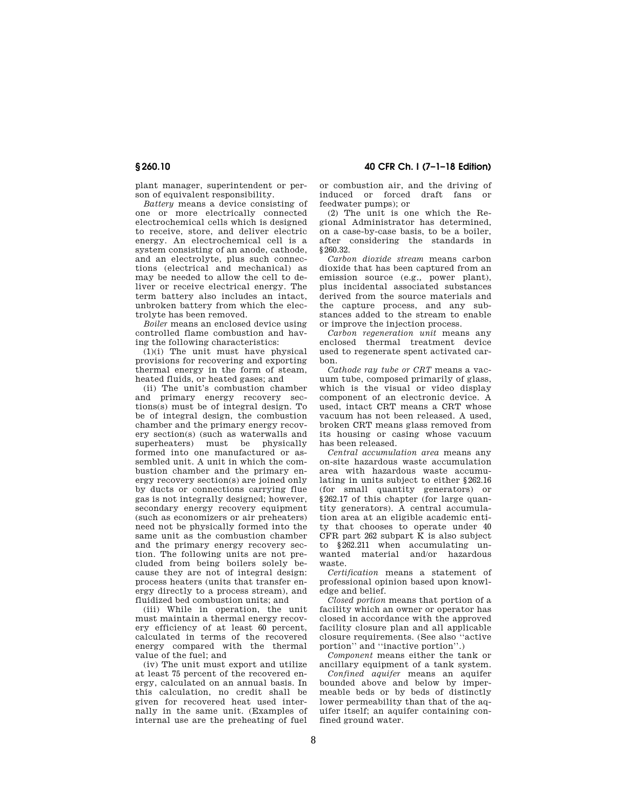plant manager, superintendent or person of equivalent responsibility.

*Battery* means a device consisting of one or more electrically connected electrochemical cells which is designed to receive, store, and deliver electric energy. An electrochemical cell is a system consisting of an anode, cathode, and an electrolyte, plus such connections (electrical and mechanical) as may be needed to allow the cell to deliver or receive electrical energy. The term battery also includes an intact, unbroken battery from which the electrolyte has been removed.

*Boiler* means an enclosed device using controlled flame combustion and having the following characteristics:

(1)(i) The unit must have physical provisions for recovering and exporting thermal energy in the form of steam, heated fluids, or heated gases; and

(ii) The unit's combustion chamber and primary energy recovery sections(s) must be of integral design. To be of integral design, the combustion chamber and the primary energy recovery section(s) (such as waterwalls and superheaters) must be physically formed into one manufactured or assembled unit. A unit in which the combustion chamber and the primary energy recovery section(s) are joined only by ducts or connections carrying flue gas is not integrally designed; however, secondary energy recovery equipment (such as economizers or air preheaters) need not be physically formed into the same unit as the combustion chamber and the primary energy recovery section. The following units are not precluded from being boilers solely because they are not of integral design: process heaters (units that transfer energy directly to a process stream), and fluidized bed combustion units; and

(iii) While in operation, the unit must maintain a thermal energy recovery efficiency of at least 60 percent, calculated in terms of the recovered energy compared with the thermal value of the fuel; and

(iv) The unit must export and utilize at least 75 percent of the recovered energy, calculated on an annual basis. In this calculation, no credit shall be given for recovered heat used internally in the same unit. (Examples of internal use are the preheating of fuel

or combustion air, and the driving of induced or forced draft fans or feedwater pumps); or

(2) The unit is one which the Regional Administrator has determined, on a case-by-case basis, to be a boiler, after considering the standards in § 260.32.

*Carbon dioxide stream* means carbon dioxide that has been captured from an emission source (e.g., power plant), plus incidental associated substances derived from the source materials and the capture process, and any substances added to the stream to enable or improve the injection process.

*Carbon regeneration unit* means any enclosed thermal treatment device used to regenerate spent activated carbon.

*Cathode ray tube or CRT* means a vacuum tube, composed primarily of glass, which is the visual or video display component of an electronic device. A used, intact CRT means a CRT whose vacuum has not been released. A used, broken CRT means glass removed from its housing or casing whose vacuum has been released.

*Central accumulation area* means any on-site hazardous waste accumulation area with hazardous waste accumulating in units subject to either §262.16 (for small quantity generators) or §262.17 of this chapter (for large quantity generators). A central accumulation area at an eligible academic entity that chooses to operate under 40 CFR part  $262$  subpart K is also subject to §262.211 when accumulating unwanted material and/or hazardous waste.

*Certification* means a statement of professional opinion based upon knowledge and belief.

*Closed portion* means that portion of a facility which an owner or operator has closed in accordance with the approved facility closure plan and all applicable closure requirements. (See also ''active portion'' and ''inactive portion''.)

*Component* means either the tank or ancillary equipment of a tank system.

*Confined aquifer* means an aquifer bounded above and below by impermeable beds or by beds of distinctly lower permeability than that of the aquifer itself; an aquifer containing confined ground water.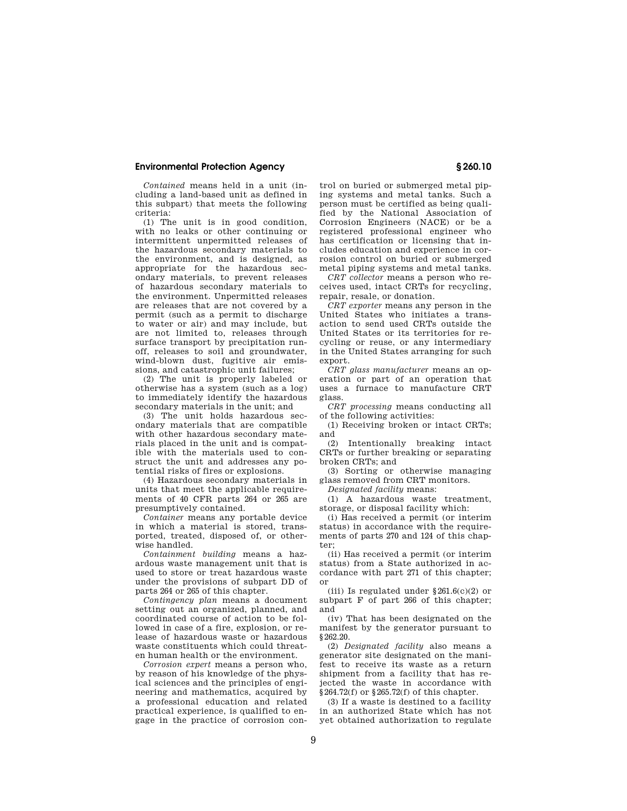*Contained* means held in a unit (including a land-based unit as defined in this subpart) that meets the following criteria:

(1) The unit is in good condition, with no leaks or other continuing or intermittent unpermitted releases of the hazardous secondary materials to the environment, and is designed, as appropriate for the hazardous secondary materials, to prevent releases of hazardous secondary materials to the environment. Unpermitted releases are releases that are not covered by a permit (such as a permit to discharge to water or air) and may include, but are not limited to, releases through surface transport by precipitation runoff, releases to soil and groundwater, wind-blown dust, fugitive air emissions, and catastrophic unit failures;

(2) The unit is properly labeled or otherwise has a system (such as a log) to immediately identify the hazardous secondary materials in the unit; and

(3) The unit holds hazardous secondary materials that are compatible with other hazardous secondary materials placed in the unit and is compatible with the materials used to construct the unit and addresses any potential risks of fires or explosions.

(4) Hazardous secondary materials in units that meet the applicable requirements of 40 CFR parts 264 or 265 are presumptively contained.

*Container* means any portable device in which a material is stored, transported, treated, disposed of, or otherwise handled.

*Containment building* means a hazardous waste management unit that is used to store or treat hazardous waste under the provisions of subpart DD of parts 264 or 265 of this chapter.

*Contingency plan* means a document setting out an organized, planned, and coordinated course of action to be followed in case of a fire, explosion, or release of hazardous waste or hazardous waste constituents which could threaten human health or the environment.

*Corrosion expert* means a person who, by reason of his knowledge of the physical sciences and the principles of engineering and mathematics, acquired by a professional education and related practical experience, is qualified to engage in the practice of corrosion con-

trol on buried or submerged metal piping systems and metal tanks. Such a person must be certified as being qualified by the National Association of Corrosion Engineers (NACE) or be a registered professional engineer who has certification or licensing that includes education and experience in corrosion control on buried or submerged metal piping systems and metal tanks.

*CRT collector* means a person who receives used, intact CRTs for recycling, repair, resale, or donation.

*CRT exporter* means any person in the United States who initiates a transaction to send used CRTs outside the United States or its territories for recycling or reuse, or any intermediary in the United States arranging for such export.

*CRT glass manufacturer* means an operation or part of an operation that uses a furnace to manufacture CRT glass.

*CRT processing* means conducting all of the following activities:

(1) Receiving broken or intact CRTs;

and  $\frac{(2)}{2}$ Intentionally breaking intact CRTs or further breaking or separating broken CRTs; and

(3) Sorting or otherwise managing glass removed from CRT monitors.

*Designated facility* means:

(1) A hazardous waste treatment, storage, or disposal facility which:

(i) Has received a permit (or interim status) in accordance with the requirements of parts 270 and 124 of this chapter;

(ii) Has received a permit (or interim status) from a State authorized in accordance with part 271 of this chapter; or

(iii) Is regulated under  $$261.6(c)(2)$  or subpart F of part 266 of this chapter; and

(iv) That has been designated on the manifest by the generator pursuant to §262.20.

(2) *Designated facility* also means a generator site designated on the manifest to receive its waste as a return shipment from a facility that has rejected the waste in accordance with  $§264.72(f)$  or  $§265.72(f)$  of this chapter.

(3) If a waste is destined to a facility in an authorized State which has not yet obtained authorization to regulate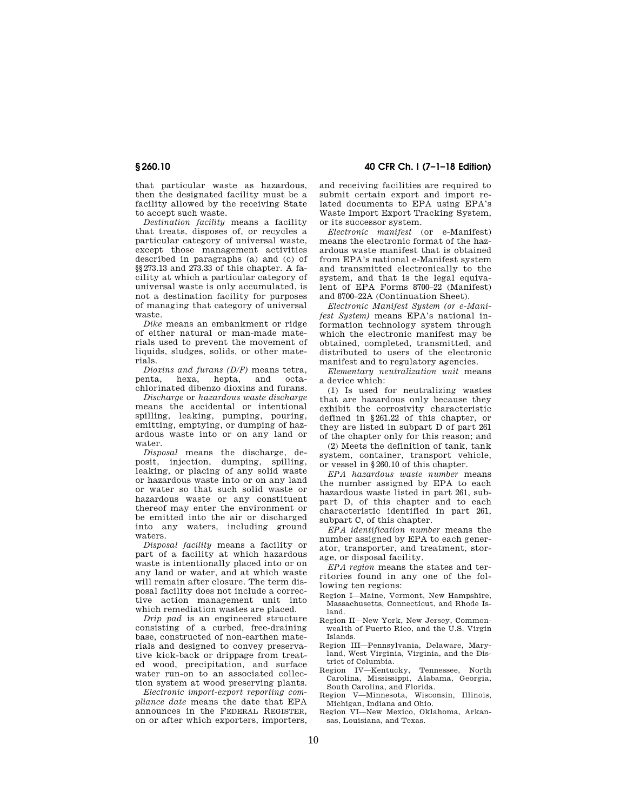that particular waste as hazardous, then the designated facility must be a facility allowed by the receiving State to accept such waste.

*Destination facility* means a facility that treats, disposes of, or recycles a particular category of universal waste, except those management activities described in paragraphs (a) and (c) of §§273.13 and 273.33 of this chapter. A facility at which a particular category of universal waste is only accumulated, is not a destination facility for purposes of managing that category of universal waste.

*Dike* means an embankment or ridge of either natural or man-made materials used to prevent the movement of liquids, sludges, solids, or other materials.

*Dioxins and furans (D/F)* means tetra, penta, hexa, hepta, and octachlorinated dibenzo dioxins and furans.

*Discharge* or *hazardous waste discharge*  means the accidental or intentional spilling, leaking, pumping, pouring, emitting, emptying, or dumping of hazardous waste into or on any land or water.

*Disposal* means the discharge, deposit, injection, dumping, spilling, leaking, or placing of any solid waste or hazardous waste into or on any land or water so that such solid waste or hazardous waste or any constituent thereof may enter the environment or be emitted into the air or discharged into any waters, including ground waters.

*Disposal facility* means a facility or part of a facility at which hazardous waste is intentionally placed into or on any land or water, and at which waste will remain after closure. The term disposal facility does not include a corrective action management unit into which remediation wastes are placed.

*Drip pad* is an engineered structure consisting of a curbed, free-draining base, constructed of non-earthen materials and designed to convey preservative kick-back or drippage from treated wood, precipitation, and surface water run-on to an associated collection system at wood preserving plants.

*Electronic import-export reporting compliance date* means the date that EPA announces in the FEDERAL REGISTER, on or after which exporters, importers,

**§ 260.10 40 CFR Ch. I (7–1–18 Edition)** 

and receiving facilities are required to submit certain export and import related documents to EPA using EPA's Waste Import Export Tracking System, or its successor system.

*Electronic manifest* (or e-Manifest) means the electronic format of the hazardous waste manifest that is obtained from EPA's national e-Manifest system and transmitted electronically to the system, and that is the legal equivalent of EPA Forms 8700–22 (Manifest) and 8700–22A (Continuation Sheet).

*Electronic Manifest System (or e-Manifest System)* means EPA's national information technology system through which the electronic manifest may be obtained, completed, transmitted, and distributed to users of the electronic manifest and to regulatory agencies.

*Elementary neutralization unit* means a device which:

(1) Is used for neutralizing wastes that are hazardous only because they exhibit the corrosivity characteristic defined in §261.22 of this chapter, or they are listed in subpart D of part 261 of the chapter only for this reason; and

(2) Meets the definition of tank, tank system, container, transport vehicle, or vessel in §260.10 of this chapter.

*EPA hazardous waste number* means the number assigned by EPA to each hazardous waste listed in part 261, subpart D, of this chapter and to each characteristic identified in part 261, subpart C, of this chapter.

*EPA identification number* means the number assigned by EPA to each generator, transporter, and treatment, storage, or disposal facility.

*EPA region* means the states and territories found in any one of the following ten regions:

- Region I—Maine, Vermont, New Hampshire, Massachusetts, Connecticut, and Rhode Island.
- Region II—New York, New Jersey, Commonwealth of Puerto Rico, and the U.S. Virgin Islands.
- Region III—Pennsylvania, Delaware, Maryland, West Virginia, Virginia, and the District of Columbia.
- Region IV—Kentucky, Tennessee, North Carolina, Mississippi, Alabama, Georgia, South Carolina, and Florida.
- Region V—Minnesota, Wisconsin, Illinois, Michigan, Indiana and Ohio.
- Region VI—New Mexico, Oklahoma, Arkansas, Louisiana, and Texas.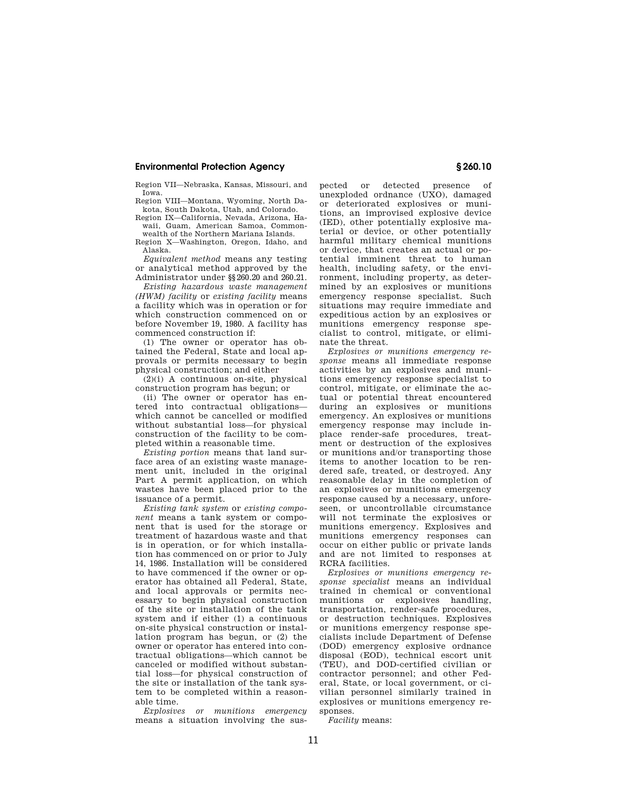Region VII—Nebraska, Kansas, Missouri, and Iowa.

Region VIII—Montana, Wyoming, North Dakota, South Dakota, Utah, and Colorado.

Region IX—California, Nevada, Arizona, Hawaii, Guam, American Samoa, Commonwealth of the Northern Mariana Islands.

Region X—Washington, Oregon, Idaho, and Alaska.

*Equivalent method* means any testing or analytical method approved by the Administrator under §§260.20 and 260.21.

*Existing hazardous waste management (HWM) facility* or *existing facility* means a facility which was in operation or for which construction commenced on or before November 19, 1980. A facility has commenced construction if:

(1) The owner or operator has obtained the Federal, State and local approvals or permits necessary to begin physical construction; and either

 $(2)(i)$  A continuous on-site, physical construction program has begun; or

(ii) The owner or operator has entered into contractual obligations which cannot be cancelled or modified without substantial loss—for physical construction of the facility to be completed within a reasonable time.

*Existing portion* means that land surface area of an existing waste management unit, included in the original Part A permit application, on which wastes have been placed prior to the issuance of a permit.

*Existing tank system* or *existing component* means a tank system or component that is used for the storage or treatment of hazardous waste and that is in operation, or for which installation has commenced on or prior to July 14, 1986. Installation will be considered to have commenced if the owner or operator has obtained all Federal, State, and local approvals or permits necessary to begin physical construction of the site or installation of the tank system and if either (1) a continuous on-site physical construction or installation program has begun, or (2) the owner or operator has entered into contractual obligations—which cannot be canceled or modified without substantial loss—for physical construction of the site or installation of the tank system to be completed within a reasonable time.

*Explosives or munitions emergency*  means a situation involving the suspected or detected presence of unexploded ordnance (UXO), damaged or deteriorated explosives or munitions, an improvised explosive device (IED), other potentially explosive material or device, or other potentially harmful military chemical munitions or device, that creates an actual or potential imminent threat to human health, including safety, or the environment, including property, as determined by an explosives or munitions emergency response specialist. Such situations may require immediate and expeditious action by an explosives or munitions emergency response specialist to control, mitigate, or eliminate the threat.

*Explosives or munitions emergency response* means all immediate response activities by an explosives and munitions emergency response specialist to control, mitigate, or eliminate the actual or potential threat encountered during an explosives or munitions emergency. An explosives or munitions emergency response may include inplace render-safe procedures, treatment or destruction of the explosives or munitions and/or transporting those items to another location to be rendered safe, treated, or destroyed. Any reasonable delay in the completion of an explosives or munitions emergency response caused by a necessary, unforeseen, or uncontrollable circumstance will not terminate the explosives or munitions emergency. Explosives and munitions emergency responses can occur on either public or private lands and are not limited to responses at RCRA facilities.

*Explosives or munitions emergency response specialist* means an individual trained in chemical or conventional munitions or explosives handling, transportation, render-safe procedures, or destruction techniques. Explosives or munitions emergency response specialists include Department of Defense (DOD) emergency explosive ordnance disposal (EOD), technical escort unit (TEU), and DOD-certified civilian or contractor personnel; and other Federal, State, or local government, or civilian personnel similarly trained in explosives or munitions emergency responses.

*Facility* means: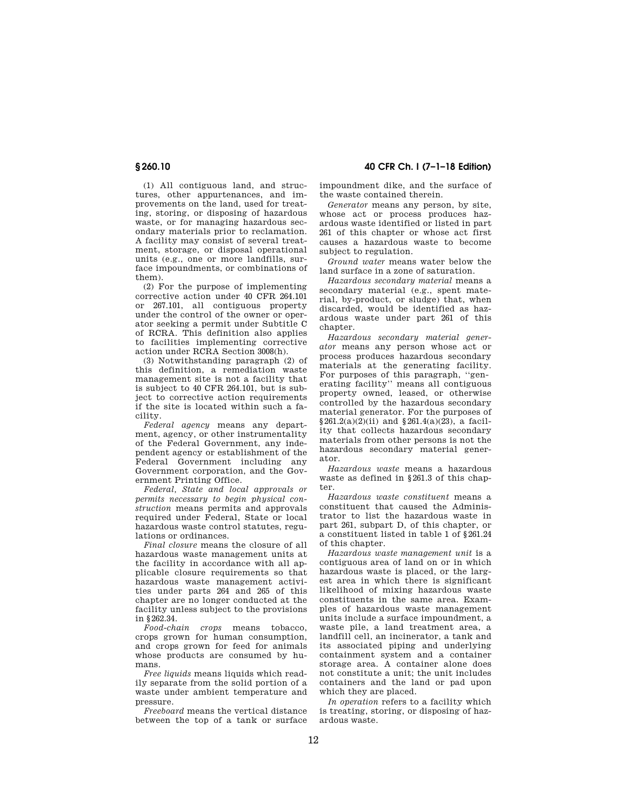**§ 260.10 40 CFR Ch. I (7–1–18 Edition)** 

(1) All contiguous land, and structures, other appurtenances, and improvements on the land, used for treating, storing, or disposing of hazardous waste, or for managing hazardous secondary materials prior to reclamation. A facility may consist of several treatment, storage, or disposal operational units (e.g., one or more landfills, surface impoundments, or combinations of them).

(2) For the purpose of implementing corrective action under 40 CFR 264.101 or 267.101, all contiguous property under the control of the owner or operator seeking a permit under Subtitle C of RCRA. This definition also applies to facilities implementing corrective action under RCRA Section 3008(h).

(3) Notwithstanding paragraph (2) of this definition, a remediation waste management site is not a facility that is subject to 40 CFR 264.101, but is subject to corrective action requirements if the site is located within such a facility.

*Federal agency* means any department, agency, or other instrumentality of the Federal Government, any independent agency or establishment of the Federal Government including any Government corporation, and the Government Printing Office.

*Federal, State and local approvals or permits necessary to begin physical construction* means permits and approvals required under Federal, State or local hazardous waste control statutes, regulations or ordinances.

*Final closure* means the closure of all hazardous waste management units at the facility in accordance with all applicable closure requirements so that hazardous waste management activities under parts 264 and 265 of this chapter are no longer conducted at the facility unless subject to the provisions in §262.34.

*Food-chain crops* means tobacco, crops grown for human consumption, and crops grown for feed for animals whose products are consumed by humans.

*Free liquids* means liquids which readily separate from the solid portion of a waste under ambient temperature and pressure.

*Freeboard* means the vertical distance between the top of a tank or surface impoundment dike, and the surface of the waste contained therein.

*Generator* means any person, by site, whose act or process produces hazardous waste identified or listed in part 261 of this chapter or whose act first causes a hazardous waste to become subject to regulation.

*Ground water* means water below the land surface in a zone of saturation.

*Hazardous secondary material* means a secondary material (e.g., spent material, by-product, or sludge) that, when discarded, would be identified as hazardous waste under part 261 of this chapter.

*Hazardous secondary material generator* means any person whose act or process produces hazardous secondary materials at the generating facility. For purposes of this paragraph, ''generating facility'' means all contiguous property owned, leased, or otherwise controlled by the hazardous secondary material generator. For the purposes of  $§261.2(a)(2)(ii)$  and  $§261.4(a)(23)$ , a facility that collects hazardous secondary materials from other persons is not the hazardous secondary material generator.

*Hazardous waste* means a hazardous waste as defined in §261.3 of this chapter.

*Hazardous waste constituent* means a constituent that caused the Administrator to list the hazardous waste in part 261, subpart D, of this chapter, or a constituent listed in table 1 of §261.24 of this chapter.

*Hazardous waste management unit* is a contiguous area of land on or in which hazardous waste is placed, or the largest area in which there is significant likelihood of mixing hazardous waste constituents in the same area. Examples of hazardous waste management units include a surface impoundment, a waste pile, a land treatment area, a landfill cell, an incinerator, a tank and its associated piping and underlying containment system and a container storage area. A container alone does not constitute a unit; the unit includes containers and the land or pad upon which they are placed.

*In operation* refers to a facility which is treating, storing, or disposing of hazardous waste.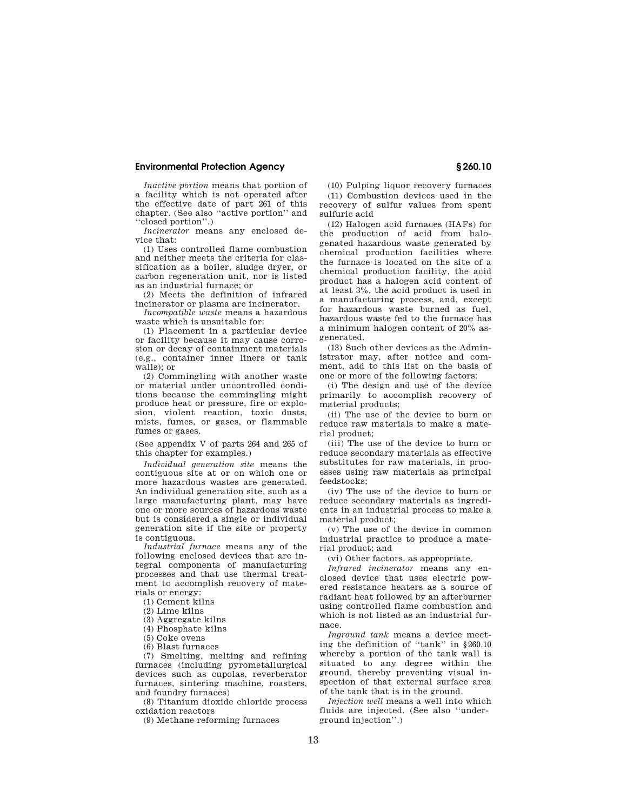*Inactive portion* means that portion of a facility which is not operated after the effective date of part 261 of this chapter. (See also ''active portion'' and ''closed portion''.)

*Incinerator* means any enclosed device that:

(1) Uses controlled flame combustion and neither meets the criteria for classification as a boiler, sludge dryer, or carbon regeneration unit, nor is listed as an industrial furnace; or

(2) Meets the definition of infrared incinerator or plasma arc incinerator.

*Incompatible waste* means a hazardous waste which is unsuitable for:

(1) Placement in a particular device or facility because it may cause corrosion or decay of containment materials (e.g., container inner liners or tank walls); or

(2) Commingling with another waste or material under uncontrolled conditions because the commingling might produce heat or pressure, fire or explosion, violent reaction, toxic dusts, mists, fumes, or gases, or flammable fumes or gases.

(See appendix V of parts 264 and 265 of this chapter for examples.)

*Individual generation site* means the contiguous site at or on which one or more hazardous wastes are generated. An individual generation site, such as a large manufacturing plant, may have one or more sources of hazardous waste but is considered a single or individual generation site if the site or property is contiguous.

*Industrial furnace* means any of the following enclosed devices that are integral components of manufacturing processes and that use thermal treatment to accomplish recovery of materials or energy:

 $(1)$  Cement kilns

(2) Lime kilns

(3) Aggregate kilns

(4) Phosphate kilns

(5) Coke ovens

(6) Blast furnaces

(7) Smelting, melting and refining furnaces (including pyrometallurgical devices such as cupolas, reverberator furnaces, sintering machine, roasters, and foundry furnaces)

(8) Titanium dioxide chloride process oxidation reactors

(9) Methane reforming furnaces

(10) Pulping liquor recovery furnaces (11) Combustion devices used in the recovery of sulfur values from spent sulfuric acid

(12) Halogen acid furnaces (HAFs) for the production of acid from halogenated hazardous waste generated by chemical production facilities where the furnace is located on the site of a chemical production facility, the acid product has a halogen acid content of at least 3%, the acid product is used in a manufacturing process, and, except for hazardous waste burned as fuel, hazardous waste fed to the furnace has a minimum halogen content of 20% asgenerated.

(13) Such other devices as the Administrator may, after notice and comment, add to this list on the basis of one or more of the following factors:

(i) The design and use of the device primarily to accomplish recovery of material products;

(ii) The use of the device to burn or reduce raw materials to make a material product;

(iii) The use of the device to burn or reduce secondary materials as effective substitutes for raw materials, in processes using raw materials as principal feedstocks;

(iv) The use of the device to burn or reduce secondary materials as ingredients in an industrial process to make a material product;

(v) The use of the device in common industrial practice to produce a material product; and

(vi) Other factors, as appropriate.

*Infrared incinerator* means any enclosed device that uses electric powered resistance heaters as a source of radiant heat followed by an afterburner using controlled flame combustion and which is not listed as an industrial furnace.

*Inground tank* means a device meeting the definition of ''tank'' in §260.10 whereby a portion of the tank wall is situated to any degree within the ground, thereby preventing visual inspection of that external surface area of the tank that is in the ground.

*Injection well* means a well into which fluids are injected. (See also ''underground injection''.)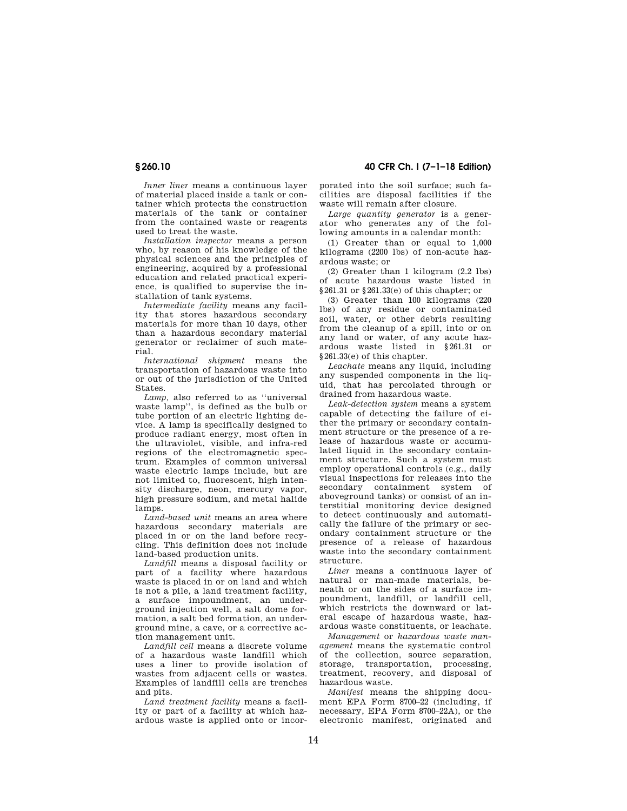*Inner liner* means a continuous layer of material placed inside a tank or container which protects the construction materials of the tank or container from the contained waste or reagents used to treat the waste.

*Installation inspector* means a person who, by reason of his knowledge of the physical sciences and the principles of engineering, acquired by a professional education and related practical experience, is qualified to supervise the installation of tank systems.

*Intermediate facility* means any facility that stores hazardous secondary materials for more than 10 days, other than a hazardous secondary material generator or reclaimer of such material.

*International shipment* means the transportation of hazardous waste into or out of the jurisdiction of the United States.

*Lamp,* also referred to as ''universal waste lamp'', is defined as the bulb or tube portion of an electric lighting device. A lamp is specifically designed to produce radiant energy, most often in the ultraviolet, visible, and infra-red regions of the electromagnetic spectrum. Examples of common universal waste electric lamps include, but are not limited to, fluorescent, high intensity discharge, neon, mercury vapor, high pressure sodium, and metal halide lamps.

*Land-based unit* means an area where hazardous secondary materials are placed in or on the land before recycling. This definition does not include land-based production units.

*Landfill* means a disposal facility or part of a facility where hazardous waste is placed in or on land and which is not a pile, a land treatment facility, a surface impoundment, an underground injection well, a salt dome formation, a salt bed formation, an underground mine, a cave, or a corrective action management unit.

*Landfill cell* means a discrete volume of a hazardous waste landfill which uses a liner to provide isolation of wastes from adjacent cells or wastes. Examples of landfill cells are trenches and pits.

*Land treatment facility* means a facility or part of a facility at which hazardous waste is applied onto or incor-

**§ 260.10 40 CFR Ch. I (7–1–18 Edition)** 

porated into the soil surface; such facilities are disposal facilities if the waste will remain after closure.

*Large quantity generator* is a generator who generates any of the following amounts in a calendar month:

(1) Greater than or equal to 1,000 kilograms (2200 lbs) of non-acute hazardous waste; or

(2) Greater than 1 kilogram (2.2 lbs) of acute hazardous waste listed in §261.31 or §261.33(e) of this chapter; or

(3) Greater than 100 kilograms (220 lbs) of any residue or contaminated soil, water, or other debris resulting from the cleanup of a spill, into or on any land or water, of any acute hazardous waste listed in §261.31 or §261.33(e) of this chapter.

*Leachate* means any liquid, including any suspended components in the liquid, that has percolated through or drained from hazardous waste.

*Leak-detection system* means a system capable of detecting the failure of either the primary or secondary containment structure or the presence of a release of hazardous waste or accumulated liquid in the secondary containment structure. Such a system must employ operational controls (e.g., daily visual inspections for releases into the secondary containment system of aboveground tanks) or consist of an interstitial monitoring device designed to detect continuously and automatically the failure of the primary or secondary containment structure or the presence of a release of hazardous waste into the secondary containment structure.

*Liner* means a continuous layer of natural or man-made materials, beneath or on the sides of a surface impoundment, landfill, or landfill cell, which restricts the downward or lateral escape of hazardous waste, hazardous waste constituents, or leachate.

*Management* or *hazardous waste management* means the systematic control of the collection, source separation, storage, transportation, processing, treatment, recovery, and disposal of hazardous waste.

*Manifest* means the shipping document EPA Form 8700–22 (including, if necessary, EPA Form 8700–22A), or the electronic manifest, originated and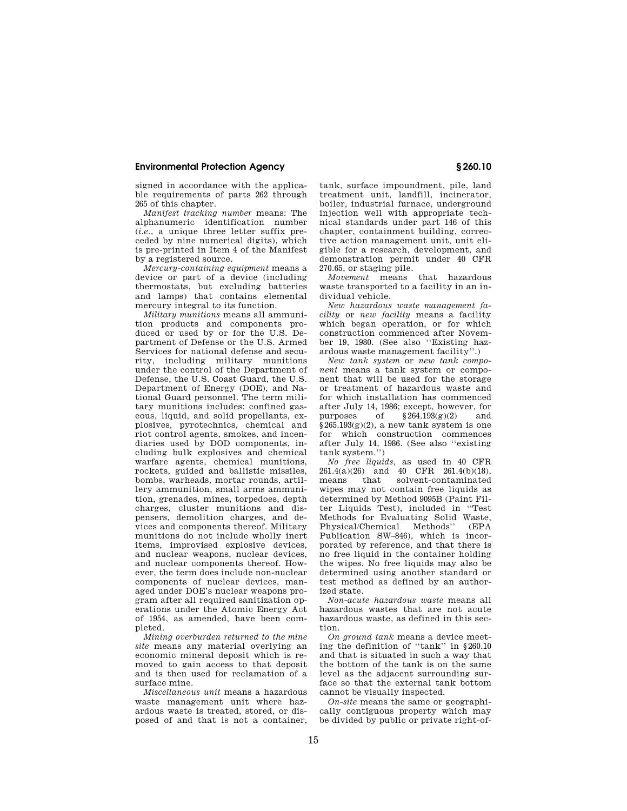signed in accordance with the applicable requirements of parts 262 through 265 of this chapter.

*Manifest tracking number* means: The alphanumeric identification number (*i.e.*, a unique three letter suffix preceded by nine numerical digits), which is pre-printed in Item 4 of the Manifest by a registered source.

*Mercury-containing equipment* means a device or part of a device (including thermostats, but excluding batteries and lamps) that contains elemental mercury integral to its function.

*Military munitions* means all ammunition products and components produced or used by or for the U.S. Department of Defense or the U.S. Armed Services for national defense and security, including military munitions under the control of the Department of Defense, the U.S. Coast Guard, the U.S. Department of Energy (DOE), and National Guard personnel. The term military munitions includes: confined gaseous, liquid, and solid propellants, explosives, pyrotechnics, chemical and riot control agents, smokes, and incendiaries used by DOD components, including bulk explosives and chemical warfare agents, chemical munitions, rockets, guided and ballistic missiles, bombs, warheads, mortar rounds, artillery ammunition, small arms ammunition, grenades, mines, torpedoes, depth charges, cluster munitions and dispensers, demolition charges, and devices and components thereof. Military munitions do not include wholly inert items, improvised explosive devices, and nuclear weapons, nuclear devices, and nuclear components thereof. However, the term does include non-nuclear components of nuclear devices, managed under DOE's nuclear weapons program after all required sanitization operations under the Atomic Energy Act of 1954, as amended, have been completed.

*Mining overburden returned to the mine site* means any material overlying an economic mineral deposit which is removed to gain access to that deposit and is then used for reclamation of a surface mine.

*Miscellaneous unit* means a hazardous waste management unit where hazardous waste is treated, stored, or disposed of and that is not a container,

tank, surface impoundment, pile, land treatment unit, landfill, incinerator, boiler, industrial furnace, underground injection well with appropriate technical standards under part 146 of this chapter, containment building, corrective action management unit, unit eligible for a research, development, and demonstration permit under 40 CFR 270.65, or staging pile.

*Movement* means that hazardous waste transported to a facility in an individual vehicle.

*New hazardous waste management facility* or *new facility* means a facility which began operation, or for which construction commenced after November 19, 1980. (See also ''Existing hazardous waste management facility''.)

*New tank system* or *new tank component* means a tank system or component that will be used for the storage or treatment of hazardous waste and for which installation has commenced after July 14, 1986; except, however, for<br>purposes of  $\S 264.193(g)(2)$  and  $§264.193(g)(2)$  and  $$265.193(g)(2)$ , a new tank system is one for which construction commences after July 14, 1986. (See also ''existing tank system.'')

*No free liquids,* as used in 40 CFR 261.4(a)(26) and 40 CFR 261.4(b)(18), means that solvent-contaminated wipes may not contain free liquids as determined by Method 9095B (Paint Filter Liquids Test), included in ''Test Methods for Evaluating Solid Waste, Physical/Chemical Methods'' (EPA Publication SW–846), which is incorporated by reference, and that there is no free liquid in the container holding the wipes. No free liquids may also be determined using another standard or test method as defined by an authorized state.

*Non-acute hazardous waste* means all hazardous wastes that are not acute hazardous waste, as defined in this section.

*On ground tank* means a device meeting the definition of ''tank'' in §260.10 and that is situated in such a way that the bottom of the tank is on the same level as the adjacent surrounding surface so that the external tank bottom cannot be visually inspected.

*On-site* means the same or geographically contiguous property which may be divided by public or private right-of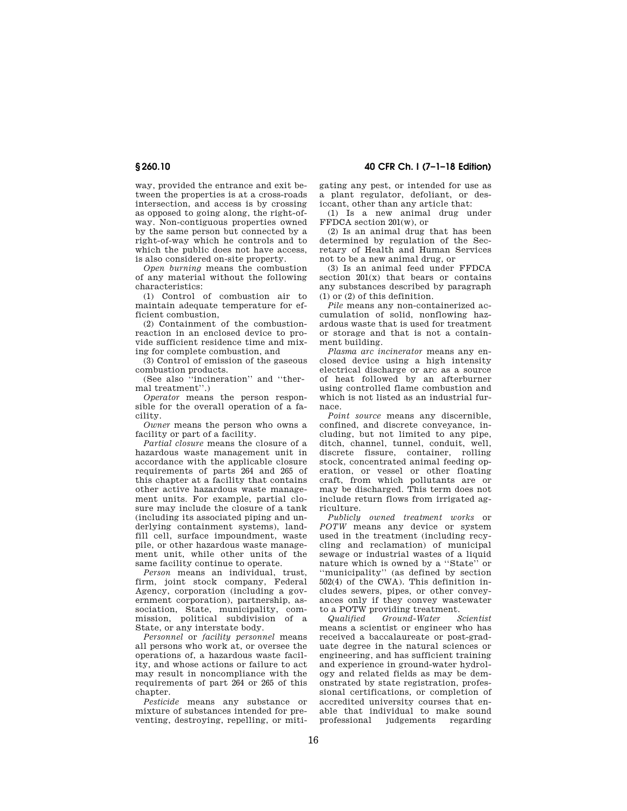way, provided the entrance and exit between the properties is at a cross-roads intersection, and access is by crossing as opposed to going along, the right-ofway. Non-contiguous properties owned by the same person but connected by a right-of-way which he controls and to which the public does not have access, is also considered on-site property.

*Open burning* means the combustion of any material without the following characteristics:

(1) Control of combustion air to maintain adequate temperature for efficient combustion,

(2) Containment of the combustionreaction in an enclosed device to provide sufficient residence time and mixing for complete combustion, and

(3) Control of emission of the gaseous combustion products.

(See also ''incineration'' and ''thermal treatment''.)

*Operator* means the person responsible for the overall operation of a facility.

*Owner* means the person who owns a facility or part of a facility.

*Partial closure* means the closure of a hazardous waste management unit in accordance with the applicable closure requirements of parts 264 and 265 of this chapter at a facility that contains other active hazardous waste management units. For example, partial closure may include the closure of a tank (including its associated piping and underlying containment systems), landfill cell, surface impoundment, waste pile, or other hazardous waste management unit, while other units of the same facility continue to operate.

*Person* means an individual, trust, firm, joint stock company, Federal Agency, corporation (including a government corporation), partnership, association, State, municipality, commission, political subdivision of a State, or any interstate body.

*Personnel* or *facility personnel* means all persons who work at, or oversee the operations of, a hazardous waste facility, and whose actions or failure to act may result in noncompliance with the requirements of part 264 or 265 of this chapter.

*Pesticide* means any substance or mixture of substances intended for preventing, destroying, repelling, or miti-

**§ 260.10 40 CFR Ch. I (7–1–18 Edition)** 

gating any pest, or intended for use as a plant regulator, defoliant, or desiccant, other than any article that:

(1) Is a new animal drug under FFDCA section 201(w), or

(2) Is an animal drug that has been determined by regulation of the Secretary of Health and Human Services not to be a new animal drug, or

(3) Is an animal feed under FFDCA section  $201(x)$  that bears or contains any substances described by paragraph (1) or (2) of this definition.

*Pile* means any non-containerized accumulation of solid, nonflowing hazardous waste that is used for treatment or storage and that is not a containment building.

*Plasma arc incinerator* means any enclosed device using a high intensity electrical discharge or arc as a source of heat followed by an afterburner using controlled flame combustion and which is not listed as an industrial furnace.

*Point source* means any discernible, confined, and discrete conveyance, including, but not limited to any pipe, ditch, channel, tunnel, conduit, well, discrete fissure, container, rolling stock, concentrated animal feeding operation, or vessel or other floating craft, from which pollutants are or may be discharged. This term does not include return flows from irrigated agriculture.

*Publicly owned treatment works* or *POTW* means any device or system used in the treatment (including recycling and reclamation) of municipal sewage or industrial wastes of a liquid nature which is owned by a "State" or ''municipality'' (as defined by section 502(4) of the CWA). This definition includes sewers, pipes, or other conveyances only if they convey wastewater to a POTW providing treatment.<br> *Qualified Ground-Water Scientist* 

 $Ground-Water$ means a scientist or engineer who has received a baccalaureate or post-graduate degree in the natural sciences or engineering, and has sufficient training and experience in ground-water hydrology and related fields as may be demonstrated by state registration, professional certifications, or completion of accredited university courses that enable that individual to make sound<br>professional indgements regarding judgements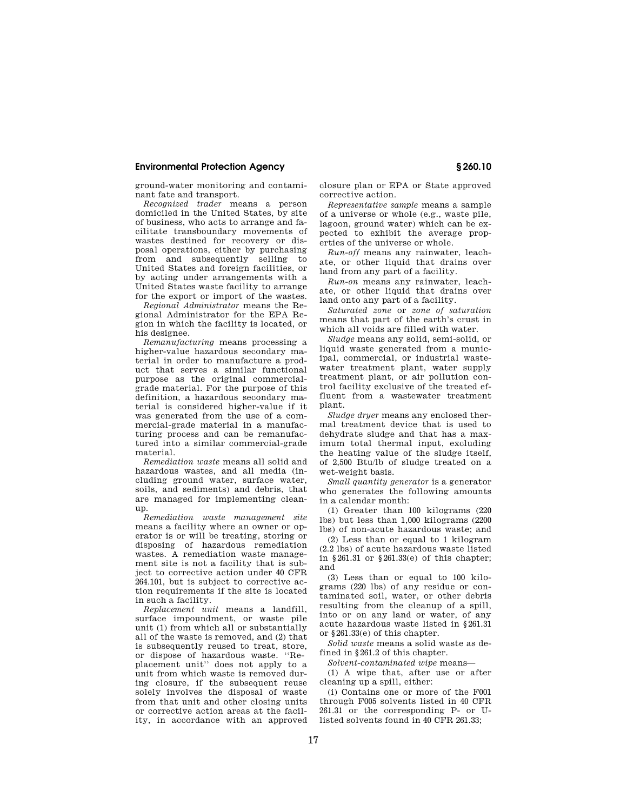ground-water monitoring and contaminant fate and transport.

*Recognized trader* means a person domiciled in the United States, by site of business, who acts to arrange and facilitate transboundary movements of wastes destined for recovery or disposal operations, either by purchasing from and subsequently selling to United States and foreign facilities, or by acting under arrangements with a United States waste facility to arrange for the export or import of the wastes.

*Regional Administrator* means the Regional Administrator for the EPA Region in which the facility is located, or his designee.

*Remanufacturing* means processing a higher-value hazardous secondary material in order to manufacture a product that serves a similar functional purpose as the original commercialgrade material. For the purpose of this definition, a hazardous secondary material is considered higher-value if it was generated from the use of a commercial-grade material in a manufacturing process and can be remanufactured into a similar commercial-grade material.

*Remediation waste* means all solid and hazardous wastes, and all media (including ground water, surface water, soils, and sediments) and debris, that are managed for implementing cleanup.

*Remediation waste management site*  means a facility where an owner or operator is or will be treating, storing or disposing of hazardous remediation wastes. A remediation waste management site is not a facility that is subject to corrective action under 40 CFR 264.101, but is subject to corrective action requirements if the site is located in such a facility.

*Replacement unit* means a landfill, surface impoundment, or waste pile unit (1) from which all or substantially all of the waste is removed, and (2) that is subsequently reused to treat, store, or dispose of hazardous waste. ''Replacement unit'' does not apply to a unit from which waste is removed during closure, if the subsequent reuse solely involves the disposal of waste from that unit and other closing units or corrective action areas at the facility, in accordance with an approved

closure plan or EPA or State approved corrective action.

*Representative sample* means a sample of a universe or whole (e.g., waste pile, lagoon, ground water) which can be expected to exhibit the average properties of the universe or whole.

*Run-off* means any rainwater, leachate, or other liquid that drains over land from any part of a facility.

*Run-on* means any rainwater, leachate, or other liquid that drains over land onto any part of a facility.

*Saturated zone* or *zone of saturation*  means that part of the earth's crust in which all voids are filled with water.

*Sludge* means any solid, semi-solid, or liquid waste generated from a municipal, commercial, or industrial wastewater treatment plant, water supply treatment plant, or air pollution control facility exclusive of the treated effluent from a wastewater treatment plant.

*Sludge dryer* means any enclosed thermal treatment device that is used to dehydrate sludge and that has a maximum total thermal input, excluding the heating value of the sludge itself, of 2,500 Btu/lb of sludge treated on a wet-weight basis.

*Small quantity generator* is a generator who generates the following amounts in a calendar month:

(1) Greater than 100 kilograms (220 lbs) but less than 1,000 kilograms (2200 lbs) of non-acute hazardous waste; and

(2) Less than or equal to 1 kilogram (2.2 lbs) of acute hazardous waste listed in §261.31 or §261.33(e) of this chapter; and

(3) Less than or equal to 100 kilograms (220 lbs) of any residue or contaminated soil, water, or other debris resulting from the cleanup of a spill, into or on any land or water, of any acute hazardous waste listed in §261.31 or §261.33(e) of this chapter.

*Solid waste* means a solid waste as defined in §261.2 of this chapter.

*Solvent-contaminated wipe* means—

(1) A wipe that, after use or after cleaning up a spill, either:

(i) Contains one or more of the F001 through F005 solvents listed in 40 CFR 261.31 or the corresponding P- or Ulisted solvents found in 40 CFR 261.33;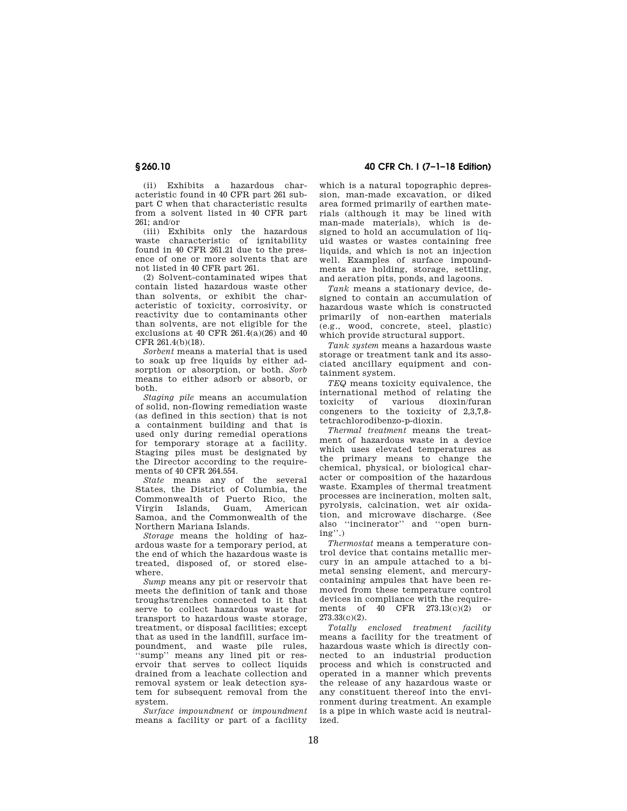(ii) Exhibits a hazardous characteristic found in 40 CFR part 261 subpart C when that characteristic results from a solvent listed in 40 CFR part 261; and/or

(iii) Exhibits only the hazardous waste characteristic of ignitability found in 40 CFR 261.21 due to the presence of one or more solvents that are not listed in 40 CFR part 261.

(2) Solvent-contaminated wipes that contain listed hazardous waste other than solvents, or exhibit the characteristic of toxicity, corrosivity, or reactivity due to contaminants other than solvents, are not eligible for the exclusions at 40 CFR  $261.4(a)(26)$  and 40 CFR 261.4(b)(18).

*Sorbent* means a material that is used to soak up free liquids by either adsorption or absorption, or both. *Sorb*  means to either adsorb or absorb, or both.

*Staging pile* means an accumulation of solid, non-flowing remediation waste (as defined in this section) that is not a containment building and that is used only during remedial operations for temporary storage at a facility. Staging piles must be designated by the Director according to the requirements of 40 CFR 264.554.

*State* means any of the several States, the District of Columbia, the Commonwealth of Puerto Rico, the Virgin Islands, Guam, Samoa, and the Commonwealth of the Northern Mariana Islands.

*Storage* means the holding of hazardous waste for a temporary period, at the end of which the hazardous waste is treated, disposed of, or stored elsewhere.

*Sump* means any pit or reservoir that meets the definition of tank and those troughs/trenches connected to it that serve to collect hazardous waste for transport to hazardous waste storage, treatment, or disposal facilities; except that as used in the landfill, surface impoundment, and waste pile rules, ''sump'' means any lined pit or reservoir that serves to collect liquids drained from a leachate collection and removal system or leak detection system for subsequent removal from the system.

*Surface impoundment* or *impoundment*  means a facility or part of a facility

**§ 260.10 40 CFR Ch. I (7–1–18 Edition)** 

which is a natural topographic depression, man-made excavation, or diked area formed primarily of earthen materials (although it may be lined with man-made materials), which is designed to hold an accumulation of liquid wastes or wastes containing free liquids, and which is not an injection well. Examples of surface impoundments are holding, storage, settling, and aeration pits, ponds, and lagoons.

*Tank* means a stationary device, designed to contain an accumulation of hazardous waste which is constructed primarily of non-earthen materials (e.g., wood, concrete, steel, plastic) which provide structural support.

*Tank system* means a hazardous waste storage or treatment tank and its associated ancillary equipment and containment system.

*TEQ* means toxicity equivalence, the international method of relating the toxicity of various dioxin/furan congeners to the toxicity of 2,3,7,8 tetrachlorodibenzo-p-dioxin.

*Thermal treatment* means the treatment of hazardous waste in a device which uses elevated temperatures as the primary means to change the chemical, physical, or biological character or composition of the hazardous waste. Examples of thermal treatment processes are incineration, molten salt, pyrolysis, calcination, wet air oxidation, and microwave discharge. (See also ''incinerator'' and ''open burning''.)

*Thermostat* means a temperature control device that contains metallic mercury in an ampule attached to a bimetal sensing element, and mercurycontaining ampules that have been removed from these temperature control devices in compliance with the requirements of 40 CFR 273.13(c)(2) or 273.33(c)(2).

*Totally enclosed treatment facility*  means a facility for the treatment of hazardous waste which is directly connected to an industrial production process and which is constructed and operated in a manner which prevents the release of any hazardous waste or any constituent thereof into the environment during treatment. An example is a pipe in which waste acid is neutralized.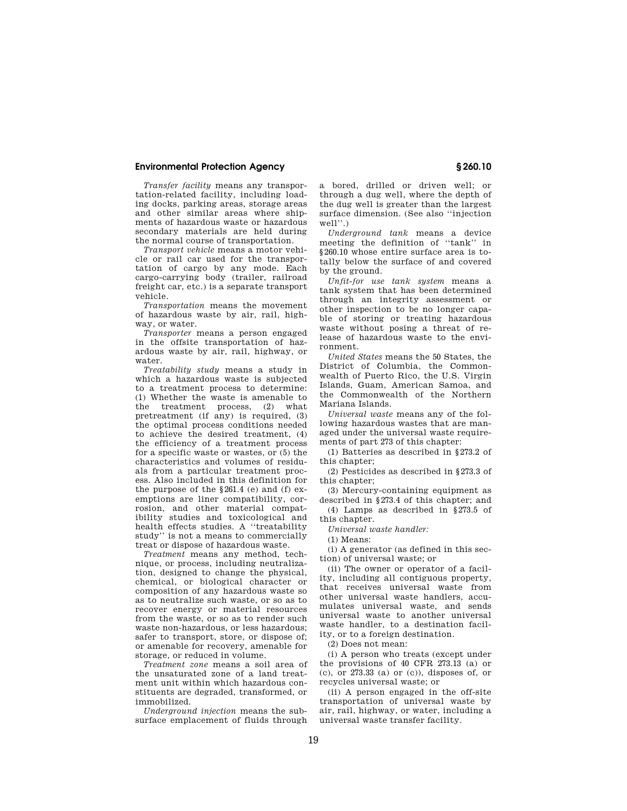*Transfer facility* means any transportation-related facility, including loading docks, parking areas, storage areas and other similar areas where shipments of hazardous waste or hazardous secondary materials are held during the normal course of transportation.

*Transport vehicle* means a motor vehicle or rail car used for the transportation of cargo by any mode. Each cargo-carrying body (trailer, railroad freight car, etc.) is a separate transport vehicle.

*Transportation* means the movement of hazardous waste by air, rail, highway, or water.

*Transporter* means a person engaged in the offsite transportation of hazardous waste by air, rail, highway, or water.

*Treatability study* means a study in which a hazardous waste is subjected to a treatment process to determine: (1) Whether the waste is amenable to the treatment process, (2) what pretreatment (if any) is required, (3) the optimal process conditions needed to achieve the desired treatment, (4) the efficiency of a treatment process for a specific waste or wastes, or (5) the characteristics and volumes of residuals from a particular treatment process. Also included in this definition for the purpose of the  $§261.4$  (e) and (f) exemptions are liner compatibility, corrosion, and other material compatibility studies and toxicological and health effects studies. A ''treatability study'' is not a means to commercially treat or dispose of hazardous waste.

*Treatment* means any method, technique, or process, including neutralization, designed to change the physical, chemical, or biological character or composition of any hazardous waste so as to neutralize such waste, or so as to recover energy or material resources from the waste, or so as to render such waste non-hazardous, or less hazardous; safer to transport, store, or dispose of; or amenable for recovery, amenable for storage, or reduced in volume.

*Treatment zone* means a soil area of the unsaturated zone of a land treatment unit within which hazardous constituents are degraded, transformed, or immobilized.

*Underground injection* means the subsurface emplacement of fluids through a bored, drilled or driven well; or through a dug well, where the depth of the dug well is greater than the largest surface dimension. (See also ''injection  $well'$ 

*Underground tank* means a device meeting the definition of ''tank'' in §260.10 whose entire surface area is totally below the surface of and covered by the ground.

*Unfit-for use tank system* means a tank system that has been determined through an integrity assessment or other inspection to be no longer capable of storing or treating hazardous waste without posing a threat of release of hazardous waste to the environment.

*United States* means the 50 States, the District of Columbia, the Commonwealth of Puerto Rico, the U.S. Virgin Islands, Guam, American Samoa, and the Commonwealth of the Northern Mariana Islands.

*Universal waste* means any of the following hazardous wastes that are managed under the universal waste requirements of part 273 of this chapter:

(1) Batteries as described in §273.2 of this chapter;

(2) Pesticides as described in §273.3 of this chapter;

(3) Mercury-containing equipment as described in §273.4 of this chapter; and

(4) Lamps as described in §273.5 of this chapter.

*Universal waste handler:* 

(1) Means:

(i) A generator (as defined in this section) of universal waste; or

(ii) The owner or operator of a facility, including all contiguous property, that receives universal waste from other universal waste handlers, accumulates universal waste, and sends universal waste to another universal waste handler, to a destination facility, or to a foreign destination.

(2) Does not mean:

(i) A person who treats (except under the provisions of 40 CFR 273.13 (a) or (c), or 273.33 (a) or (c)), disposes of, or recycles universal waste; or

(ii) A person engaged in the off-site transportation of universal waste by air, rail, highway, or water, including a universal waste transfer facility.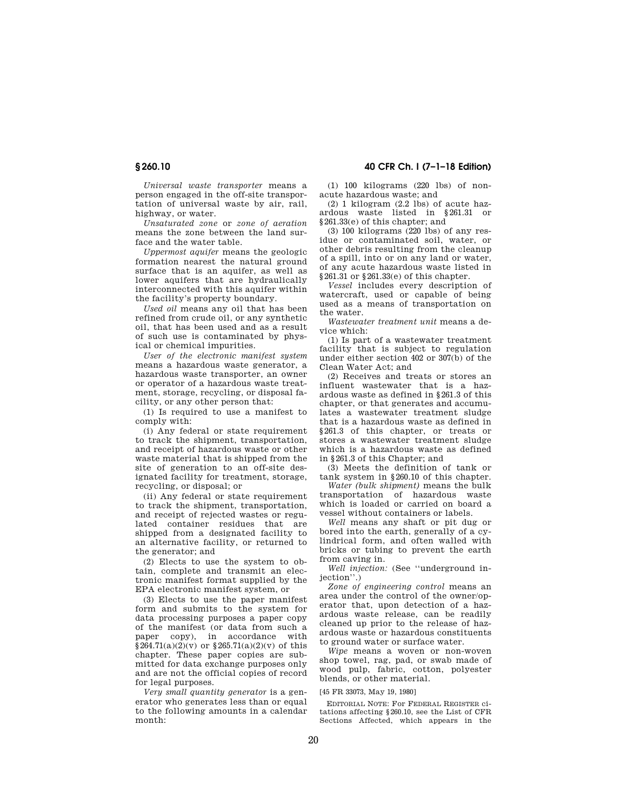*Universal waste transporter* means a person engaged in the off-site transportation of universal waste by air, rail, highway, or water.

*Unsaturated zone* or *zone of aeration*  means the zone between the land surface and the water table.

*Uppermost aquifer* means the geologic formation nearest the natural ground surface that is an aquifer, as well as lower aquifers that are hydraulically interconnected with this aquifer within the facility's property boundary.

*Used oil* means any oil that has been refined from crude oil, or any synthetic oil, that has been used and as a result of such use is contaminated by physical or chemical impurities.

*User of the electronic manifest system*  means a hazardous waste generator, a hazardous waste transporter, an owner or operator of a hazardous waste treatment, storage, recycling, or disposal facility, or any other person that:

(1) Is required to use a manifest to comply with:

(i) Any federal or state requirement to track the shipment, transportation, and receipt of hazardous waste or other waste material that is shipped from the site of generation to an off-site designated facility for treatment, storage, recycling, or disposal; or

(ii) Any federal or state requirement to track the shipment, transportation, and receipt of rejected wastes or regulated container residues that are shipped from a designated facility to an alternative facility, or returned to the generator; and

(2) Elects to use the system to obtain, complete and transmit an electronic manifest format supplied by the EPA electronic manifest system, or

(3) Elects to use the paper manifest form and submits to the system for data processing purposes a paper copy of the manifest (or data from such a paper copy), in accordance with  $§264.71(a)(2)(v)$  or  $§265.71(a)(2)(v)$  of this chapter. These paper copies are submitted for data exchange purposes only and are not the official copies of record for legal purposes.

*Very small quantity generator* is a generator who generates less than or equal to the following amounts in a calendar month:

**§ 260.10 40 CFR Ch. I (7–1–18 Edition)** 

(1) 100 kilograms (220 lbs) of nonacute hazardous waste; and

(2) 1 kilogram (2.2 lbs) of acute hazardous waste listed in §261.31 or §261.33(e) of this chapter; and

 $(3)$  100 kilograms  $(220$  lbs) of any residue or contaminated soil, water, or other debris resulting from the cleanup of a spill, into or on any land or water, of any acute hazardous waste listed in §261.31 or §261.33(e) of this chapter.

*Vessel* includes every description of watercraft, used or capable of being used as a means of transportation on the water.

*Wastewater treatment unit* means a device which:

(1) Is part of a wastewater treatment facility that is subject to regulation under either section 402 or 307(b) of the Clean Water Act; and

(2) Receives and treats or stores an influent wastewater that is a hazardous waste as defined in §261.3 of this chapter, or that generates and accumulates a wastewater treatment sludge that is a hazardous waste as defined in §261.3 of this chapter, or treats or stores a wastewater treatment sludge which is a hazardous waste as defined in §261.3 of this Chapter; and

(3) Meets the definition of tank or tank system in §260.10 of this chapter.

*Water (bulk shipment)* means the bulk transportation of hazardous waste which is loaded or carried on board a vessel without containers or labels.

*Well* means any shaft or pit dug or bored into the earth, generally of a cylindrical form, and often walled with bricks or tubing to prevent the earth from caving in.

*Well injection:* (See ''underground injection''.)

*Zone of engineering control* means an area under the control of the owner/operator that, upon detection of a hazardous waste release, can be readily cleaned up prior to the release of hazardous waste or hazardous constituents to ground water or surface water.

*Wipe* means a woven or non-woven shop towel, rag, pad, or swab made of wood pulp, fabric, cotton, polyester blends, or other material.

[45 FR 33073, May 19, 1980]

EDITORIAL NOTE: For FEDERAL REGISTER citations affecting §260.10, see the List of CFR Sections Affected, which appears in the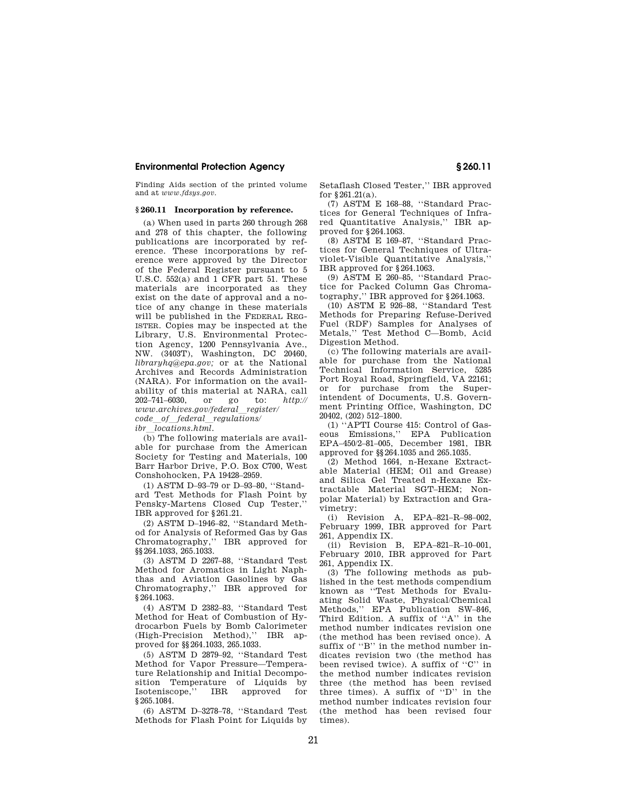Finding Aids section of the printed volume and at *www.fdsys.gov.* 

### **§ 260.11 Incorporation by reference.**

(a) When used in parts 260 through 268 and 278 of this chapter, the following publications are incorporated by reference. These incorporations by reference were approved by the Director of the Federal Register pursuant to 5 U.S.C. 552(a) and 1 CFR part 51. These materials are incorporated as they exist on the date of approval and a notice of any change in these materials will be published in the FEDERAL REG-ISTER. Copies may be inspected at the Library, U.S. Environmental Protection Agency, 1200 Pennsylvania Ave., NW. (3403T), Washington, DC 20460, *libraryhq@epa.gov;* or at the National Archives and Records Administration (NARA). For information on the availability of this material at NARA, call 202–741–6030, or go to: *http://*   $www.archive.gov/feral\_register/$ *code*l*of*l*federal*l*regulations/ ibr locations.html.* 

(b) The following materials are available for purchase from the American Society for Testing and Materials, 100 Barr Harbor Drive, P.O. Box C700, West Conshohocken, PA 19428–2959.

(1) ASTM D–93–79 or D–93–80, ''Standard Test Methods for Flash Point by Pensky-Martens Closed Cup Tester,'' IBR approved for §261.21.

(2) ASTM D–1946–82, ''Standard Method for Analysis of Reformed Gas by Gas Chromatography,'' IBR approved for §§264.1033, 265.1033.

(3) ASTM D 2267–88, ''Standard Test Method for Aromatics in Light Naphthas and Aviation Gasolines by Gas Chromatography,'' IBR approved for §264.1063.

(4) ASTM D 2382–83, ''Standard Test Method for Heat of Combustion of Hydrocarbon Fuels by Bomb Calorimeter (High-Precision Method),'' IBR approved for §§264.1033, 265.1033.

(5) ASTM D 2879–92, ''Standard Test Method for Vapor Pressure—Temperature Relationship and Initial Decomposition Temperature of Liquids by<br>Isoteniscope," IBR approved for Isoteniscope,'' IBR approved for §265.1084.

(6) ASTM D–3278–78, ''Standard Test Methods for Flash Point for Liquids by Setaflash Closed Tester,'' IBR approved for §261.21(a).

(7) ASTM E 168–88, ''Standard Practices for General Techniques of Infrared Quantitative Analysis,'' IBR approved for §264.1063.

(8) ASTM E 169–87, ''Standard Practices for General Techniques of Ultraviolet-Visible Quantitative Analysis,'' IBR approved for §264.1063.

(9) ASTM E 260–85, ''Standard Practice for Packed Column Gas Chromatography,'' IBR approved for §264.1063.

(10) ASTM E 926–88, ''Standard Test Methods for Preparing Refuse-Derived Fuel (RDF) Samples for Analyses of Metals,'' Test Method C—Bomb, Acid Digestion Method.

(c) The following materials are available for purchase from the National Technical Information Service, 5285 Port Royal Road, Springfield, VA 22161; or for purchase from the Superintendent of Documents, U.S. Government Printing Office, Washington, DC 20402, (202) 512–1800.

(1) ''APTI Course 415: Control of Gaseous Emissions,'' EPA Publication EPA–450/2–81–005, December 1981, IBR approved for §§264.1035 and 265.1035.

(2) Method 1664, n-Hexane Extractable Material (HEM; Oil and Grease) and Silica Gel Treated n-Hexane Extractable Material SGT–HEM; Nonpolar Material) by Extraction and Gravimetry:

(i) Revision A, EPA–821–R–98–002, February 1999, IBR approved for Part 261, Appendix IX.

(ii) Revision B, EPA–821–R–10–001, February 2010, IBR approved for Part 261, Appendix IX.

(3) The following methods as published in the test methods compendium known as ''Test Methods for Evaluating Solid Waste, Physical/Chemical Methods,'' EPA Publication SW–846, Third Edition. A suffix of ''A'' in the method number indicates revision one (the method has been revised once). A suffix of "B" in the method number indicates revision two (the method has been revised twice). A suffix of ''C'' in the method number indicates revision three (the method has been revised three times). A suffix of ''D'' in the method number indicates revision four (the method has been revised four times).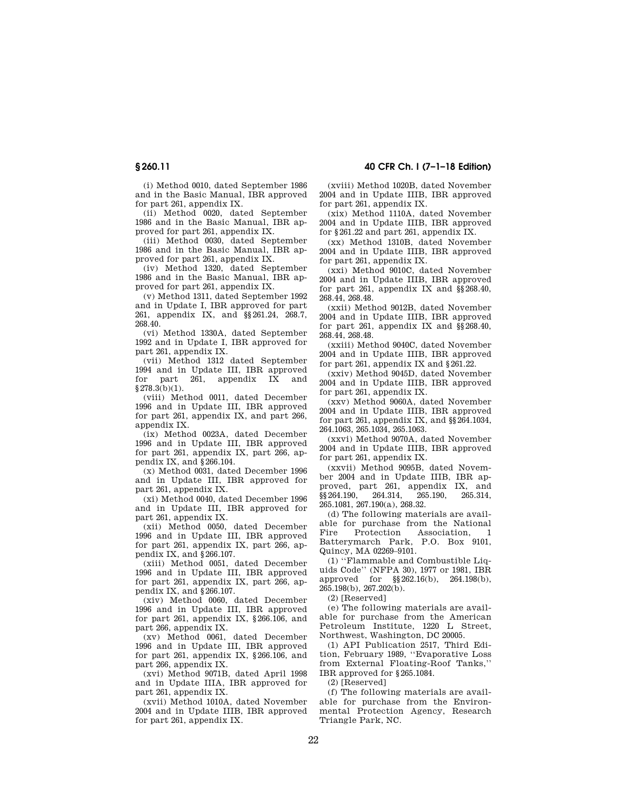**§ 260.11 40 CFR Ch. I (7–1–18 Edition)** 

(i) Method 0010, dated September 1986 and in the Basic Manual, IBR approved for part 261, appendix IX.

(ii) Method 0020, dated September 1986 and in the Basic Manual, IBR approved for part 261, appendix IX.

(iii) Method 0030, dated September 1986 and in the Basic Manual, IBR approved for part 261, appendix IX.

(iv) Method 1320, dated September 1986 and in the Basic Manual, IBR approved for part 261, appendix IX.

(v) Method 1311, dated September 1992 and in Update I, IBR approved for part 261, appendix IX, and §§261.24, 268.7, 268.40.

(vi) Method 1330A, dated September 1992 and in Update I, IBR approved for part 261, appendix IX.

(vii) Method 1312 dated September 1994 and in Update III, IBR approved for part 261, appendix IX and §278.3(b)(1).

(viii) Method 0011, dated December 1996 and in Update III, IBR approved for part 261, appendix IX, and part 266, appendix IX.

(ix) Method 0023A, dated December 1996 and in Update III, IBR approved for part 261, appendix IX, part 266, appendix IX, and §266.104.

(x) Method 0031, dated December 1996 and in Update III, IBR approved for part 261, appendix IX.

(xi) Method 0040, dated December 1996 and in Update III, IBR approved for part 261, appendix IX.

(xii) Method 0050, dated December 1996 and in Update III, IBR approved for part 261, appendix IX, part 266, appendix IX, and §266.107.

(xiii) Method 0051, dated December 1996 and in Update III, IBR approved for part 261, appendix IX, part 266, appendix IX, and §266.107.

(xiv) Method 0060, dated December 1996 and in Update III, IBR approved for part 261, appendix IX, §266.106, and part 266, appendix IX.

(xv) Method 0061, dated December 1996 and in Update III, IBR approved for part 261, appendix IX, §266.106, and part 266, appendix IX.

(xvi) Method 9071B, dated April 1998 and in Update IIIA, IBR approved for part 261, appendix IX.

(xvii) Method 1010A, dated November 2004 and in Update IIIB, IBR approved for part 261, appendix IX.

(xviii) Method 1020B, dated November 2004 and in Update IIIB, IBR approved for part 261, appendix IX.

(xix) Method 1110A, dated November 2004 and in Update IIIB, IBR approved for §261.22 and part 261, appendix IX.

(xx) Method 1310B, dated November 2004 and in Update IIIB, IBR approved for part 261, appendix IX.

(xxi) Method 9010C, dated November 2004 and in Update IIIB, IBR approved for part 261, appendix IX and §§268.40, 268.44, 268.48.

(xxii) Method 9012B, dated November 2004 and in Update IIIB, IBR approved for part 261, appendix IX and §§268.40, 268.44, 268.48.

(xxiii) Method 9040C, dated November 2004 and in Update IIIB, IBR approved for part 261, appendix IX and §261.22.

(xxiv) Method 9045D, dated November 2004 and in Update IIIB, IBR approved for part 261, appendix IX.

(xxv) Method 9060A, dated November 2004 and in Update IIIB, IBR approved for part 261, appendix IX, and §§264.1034, 264.1063, 265.1034, 265.1063.

(xxvi) Method 9070A, dated November 2004 and in Update IIIB, IBR approved for part 261, appendix IX.

(xxvii) Method 9095B, dated November 2004 and in Update IIIB, IBR approved, part 261, appendix IX, and §§264.190, 264.314, 265.190, 265.314, 265.1081, 267.190(a), 268.32.

(d) The following materials are available for purchase from the National<br>Fire Protection Association, 1 Fire Protection Association, 1 Batterymarch Park, P.O. Box 9101, Quincy, MA 02269–9101.

(1) ''Flammable and Combustible Liquids Code'' (NFPA 30), 1977 or 1981, IBR approved for §§262.16(b), 264.198(b), 265.198(b), 267.202(b).

(2) [Reserved]

(e) The following materials are available for purchase from the American Petroleum Institute, 1220 L Street, Northwest, Washington, DC 20005.

(1) API Publication 2517, Third Edition, February 1989, ''Evaporative Loss from External Floating-Roof Tanks,'' IBR approved for §265.1084.

(2) [Reserved]

(f) The following materials are available for purchase from the Environmental Protection Agency, Research Triangle Park, NC.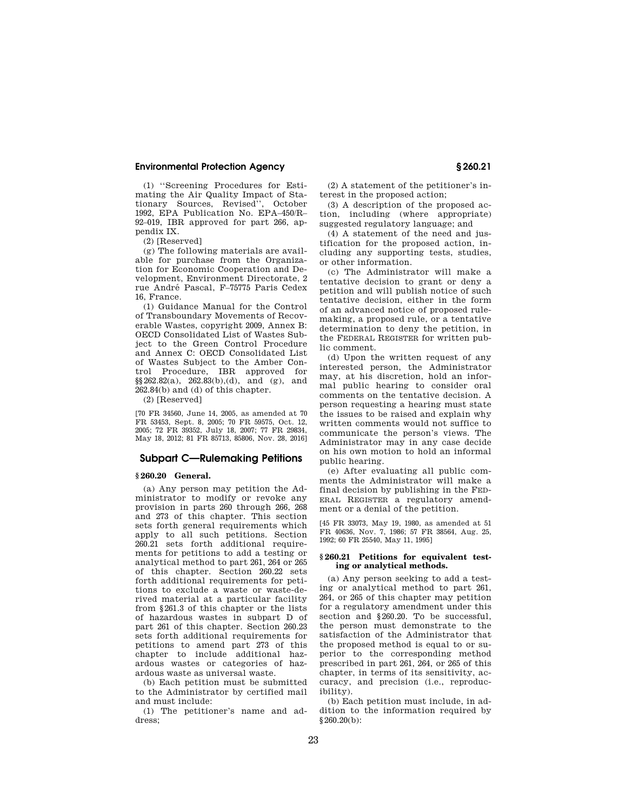(1) ''Screening Procedures for Estimating the Air Quality Impact of Stationary Sources, Revised'', October 1992, EPA Publication No. EPA–450/R– 92–019, IBR approved for part 266, appendix IX.

(2) [Reserved]

(g) The following materials are available for purchase from the Organization for Economic Cooperation and Development, Environment Directorate, 2 rue Andre´ Pascal, F–75775 Paris Cedex 16, France.

(1) Guidance Manual for the Control of Transboundary Movements of Recoverable Wastes, copyright 2009, Annex B: OECD Consolidated List of Wastes Subject to the Green Control Procedure and Annex C: OECD Consolidated List of Wastes Subject to the Amber Control Procedure, IBR approved for  $\S$ §262.82(a), 262.83(b),(d), and (g), and 262.84(b) and (d) of this chapter.

(2) [Reserved]

[70 FR 34560, June 14, 2005, as amended at 70 FR 53453, Sept. 8, 2005; 70 FR 59575, Oct. 12, 2005; 72 FR 39352, July 18, 2007; 77 FR 29834, May 18, 2012; 81 FR 85713, 85806, Nov. 28, 2016]

# **Subpart C—Rulemaking Petitions**

### **§ 260.20 General.**

(a) Any person may petition the Administrator to modify or revoke any provision in parts 260 through 266, 268 and 273 of this chapter. This section sets forth general requirements which apply to all such petitions. Section 260.21 sets forth additional requirements for petitions to add a testing or analytical method to part 261, 264 or 265 of this chapter. Section 260.22 sets forth additional requirements for petitions to exclude a waste or waste-derived material at a particular facility from §261.3 of this chapter or the lists of hazardous wastes in subpart D of part 261 of this chapter. Section 260.23 sets forth additional requirements for petitions to amend part 273 of this chapter to include additional hazardous wastes or categories of hazardous waste as universal waste.

(b) Each petition must be submitted to the Administrator by certified mail and must include:

(1) The petitioner's name and address;

(2) A statement of the petitioner's interest in the proposed action;

(3) A description of the proposed action, including (where appropriate) suggested regulatory language; and

(4) A statement of the need and justification for the proposed action, including any supporting tests, studies, or other information.

(c) The Administrator will make a tentative decision to grant or deny a petition and will publish notice of such tentative decision, either in the form of an advanced notice of proposed rulemaking, a proposed rule, or a tentative determination to deny the petition, in the FEDERAL REGISTER for written public comment.

(d) Upon the written request of any interested person, the Administrator may, at his discretion, hold an informal public hearing to consider oral comments on the tentative decision. A person requesting a hearing must state the issues to be raised and explain why written comments would not suffice to communicate the person's views. The Administrator may in any case decide on his own motion to hold an informal public hearing.

(e) After evaluating all public comments the Administrator will make a final decision by publishing in the FED-ERAL REGISTER a regulatory amendment or a denial of the petition.

[45 FR 33073, May 19, 1980, as amended at 51 FR 40636, Nov. 7, 1986; 57 FR 38564, Aug. 25, 1992; 60 FR 25540, May 11, 1995]

### **§ 260.21 Petitions for equivalent testing or analytical methods.**

(a) Any person seeking to add a testing or analytical method to part 261, 264, or 265 of this chapter may petition for a regulatory amendment under this section and §260.20. To be successful, the person must demonstrate to the satisfaction of the Administrator that the proposed method is equal to or superior to the corresponding method prescribed in part 261, 264, or 265 of this chapter, in terms of its sensitivity, accuracy, and precision (i.e., reproducibility).

(b) Each petition must include, in addition to the information required by §260.20(b):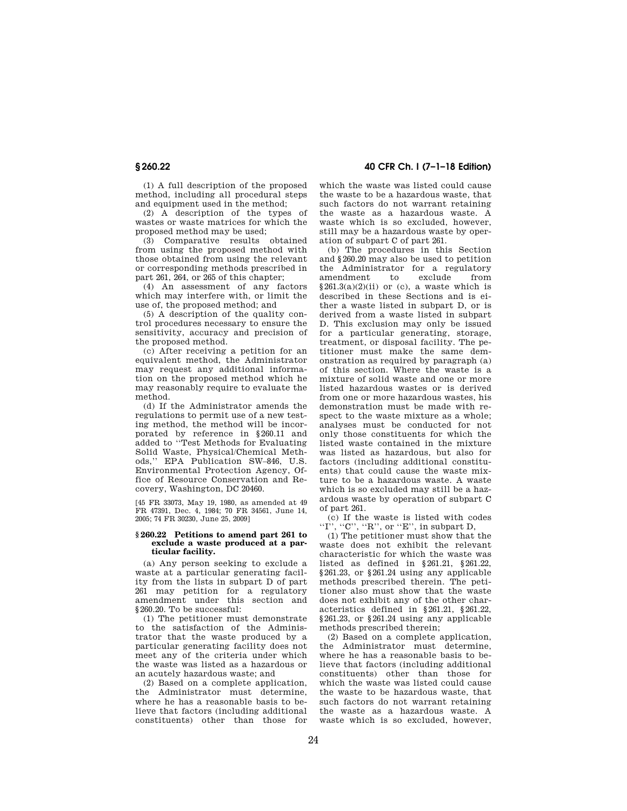(1) A full description of the proposed method, including all procedural steps and equipment used in the method;

(2) A description of the types of wastes or waste matrices for which the proposed method may be used;

(3) Comparative results obtained from using the proposed method with those obtained from using the relevant or corresponding methods prescribed in part 261, 264, or 265 of this chapter;

(4) An assessment of any factors which may interfere with, or limit the use of, the proposed method; and

(5) A description of the quality control procedures necessary to ensure the sensitivity, accuracy and precision of the proposed method.

(c) After receiving a petition for an equivalent method, the Administrator may request any additional information on the proposed method which he may reasonably require to evaluate the method.

(d) If the Administrator amends the regulations to permit use of a new testing method, the method will be incorporated by reference in §260.11 and added to ''Test Methods for Evaluating Solid Waste, Physical/Chemical Methods,'' EPA Publication SW–846, U.S. Environmental Protection Agency, Office of Resource Conservation and Recovery, Washington, DC 20460.

[45 FR 33073, May 19, 1980, as amended at 49 FR 47391, Dec. 4, 1984; 70 FR 34561, June 14, 2005; 74 FR 30230, June 25, 2009]

### **§ 260.22 Petitions to amend part 261 to exclude a waste produced at a particular facility.**

(a) Any person seeking to exclude a waste at a particular generating facility from the lists in subpart D of part 261 may petition for a regulatory amendment under this section and §260.20. To be successful:

(1) The petitioner must demonstrate to the satisfaction of the Administrator that the waste produced by a particular generating facility does not meet any of the criteria under which the waste was listed as a hazardous or an acutely hazardous waste; and

(2) Based on a complete application, the Administrator must determine, where he has a reasonable basis to believe that factors (including additional constituents) other than those for

# **§ 260.22 40 CFR Ch. I (7–1–18 Edition)**

which the waste was listed could cause the waste to be a hazardous waste, that such factors do not warrant retaining the waste as a hazardous waste. A waste which is so excluded, however, still may be a hazardous waste by operation of subpart C of part 261.

(b) The procedures in this Section and §260.20 may also be used to petition the Administrator for a regulatory amendment to exclude from  $§261.3(a)(2)(ii)$  or (c), a waste which is described in these Sections and is either a waste listed in subpart D, or is derived from a waste listed in subpart D. This exclusion may only be issued for a particular generating, storage, treatment, or disposal facility. The petitioner must make the same demonstration as required by paragraph (a) of this section. Where the waste is a mixture of solid waste and one or more listed hazardous wastes or is derived from one or more hazardous wastes, his demonstration must be made with respect to the waste mixture as a whole; analyses must be conducted for not only those constituents for which the listed waste contained in the mixture was listed as hazardous, but also for factors (including additional constituents) that could cause the waste mixture to be a hazardous waste. A waste which is so excluded may still be a hazardous waste by operation of subpart C of part 261.

(c) If the waste is listed with codes  $T''$ , "C", "R", or "E", in subpart D,

(1) The petitioner must show that the waste does not exhibit the relevant characteristic for which the waste was listed as defined in §261.21, §261.22, §261.23, or §261.24 using any applicable methods prescribed therein. The petitioner also must show that the waste does not exhibit any of the other characteristics defined in §261.21, §261.22, §261.23, or §261.24 using any applicable methods prescribed therein;

(2) Based on a complete application, the Administrator must determine, where he has a reasonable basis to believe that factors (including additional constituents) other than those for which the waste was listed could cause the waste to be hazardous waste, that such factors do not warrant retaining the waste as a hazardous waste. A waste which is so excluded, however,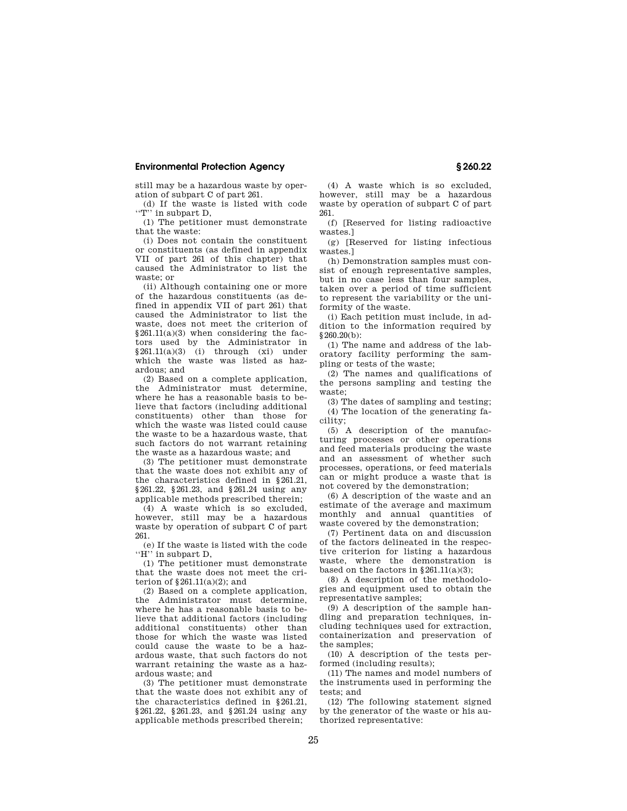still may be a hazardous waste by operation of subpart C of part 261.

(d) If the waste is listed with code "T" in subpart D,

(1) The petitioner must demonstrate that the waste:

(i) Does not contain the constituent or constituents (as defined in appendix VII of part 261 of this chapter) that caused the Administrator to list the waste; or

(ii) Although containing one or more of the hazardous constituents (as defined in appendix VII of part 261) that caused the Administrator to list the waste, does not meet the criterion of  $§261.11(a)(3)$  when considering the factors used by the Administrator in  $§261.11(a)(3)$  (i) through (xi) under which the waste was listed as hazardous; and

(2) Based on a complete application, the Administrator must determine, where he has a reasonable basis to believe that factors (including additional constituents) other than those for which the waste was listed could cause the waste to be a hazardous waste, that such factors do not warrant retaining the waste as a hazardous waste; and

(3) The petitioner must demonstrate that the waste does not exhibit any of the characteristics defined in §261.21, §261.22, §261.23, and §261.24 using any applicable methods prescribed therein;

(4) A waste which is so excluded, however, still may be a hazardous waste by operation of subpart C of part 261.

(e) If the waste is listed with the code "H" in subpart D,

(1) The petitioner must demonstrate that the waste does not meet the criterion of  $§261.11(a)(2)$ ; and

(2) Based on a complete application, the Administrator must determine, where he has a reasonable basis to believe that additional factors (including additional constituents) other than those for which the waste was listed could cause the waste to be a hazardous waste, that such factors do not warrant retaining the waste as a hazardous waste; and

(3) The petitioner must demonstrate that the waste does not exhibit any of the characteristics defined in §261.21, §261.22, §261.23, and §261.24 using any applicable methods prescribed therein;

(4) A waste which is so excluded, however, still may be a hazardous waste by operation of subpart C of part 261.

(f) [Reserved for listing radioactive wastes.]

(g) [Reserved for listing infectious wastes.]

(h) Demonstration samples must consist of enough representative samples, but in no case less than four samples, taken over a period of time sufficient to represent the variability or the uniformity of the waste.

(i) Each petition must include, in addition to the information required by §260.20(b):

(1) The name and address of the laboratory facility performing the sampling or tests of the waste;

(2) The names and qualifications of the persons sampling and testing the waste;

(3) The dates of sampling and testing; (4) The location of the generating fa-

cility;

(5) A description of the manufacturing processes or other operations and feed materials producing the waste and an assessment of whether such processes, operations, or feed materials can or might produce a waste that is not covered by the demonstration;

(6) A description of the waste and an estimate of the average and maximum monthly and annual quantities of waste covered by the demonstration;

(7) Pertinent data on and discussion of the factors delineated in the respective criterion for listing a hazardous waste, where the demonstration is based on the factors in  $\S 261.11(a)(3);$ 

(8) A description of the methodologies and equipment used to obtain the representative samples;

(9) A description of the sample handling and preparation techniques, including techniques used for extraction, containerization and preservation of the samples;

(10) A description of the tests performed (including results);

(11) The names and model numbers of the instruments used in performing the tests; and

(12) The following statement signed by the generator of the waste or his authorized representative: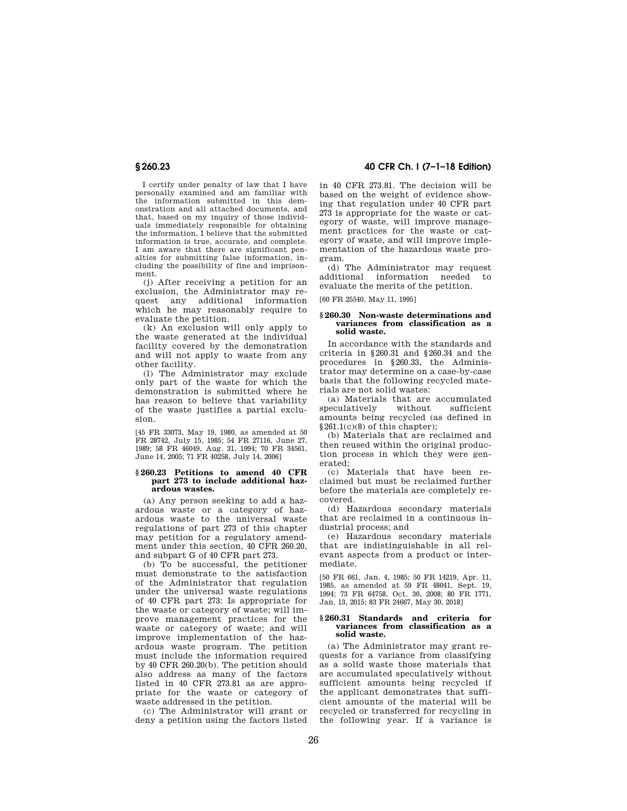I certify under penalty of law that I have personally examined and am familiar with the information submitted in this demonstration and all attached documents, and that, based on my inquiry of those individuals immediately responsible for obtaining the information, I believe that the submitted information is true, accurate, and complete. I am aware that there are significant penalties for submitting false information, including the possibility of fine and imprisonment.

(j) After receiving a petition for an exclusion, the Administrator may request any additional information which he may reasonably require to evaluate the petition.

(k) An exclusion will only apply to the waste generated at the individual facility covered by the demonstration and will not apply to waste from any other facility.

(l) The Administrator may exclude only part of the waste for which the demonstration is submitted where he has reason to believe that variability of the waste justifies a partial exclusion.

[45 FR 33073, May 19, 1980, as amended at 50 FR 28742, July 15, 1985; 54 FR 27116, June 27, 1989; 58 FR 46049, Aug. 31, 1994; 70 FR 34561, June 14, 2005; 71 FR 40258, July 14, 2006]

### **§ 260.23 Petitions to amend 40 CFR part 273 to include additional hazardous wastes.**

(a) Any person seeking to add a hazardous waste or a category of hazardous waste to the universal waste regulations of part 273 of this chapter may petition for a regulatory amendment under this section, 40 CFR 260.20, and subpart G of 40 CFR part 273.

(b) To be successful, the petitioner must demonstrate to the satisfaction of the Administrator that regulation under the universal waste regulations of 40 CFR part 273: Is appropriate for the waste or category of waste; will improve management practices for the waste or category of waste; and will improve implementation of the hazardous waste program. The petition must include the information required by 40 CFR 260.20(b). The petition should also address as many of the factors listed in 40 CFR 273.81 as are appropriate for the waste or category of waste addressed in the petition.

(c) The Administrator will grant or deny a petition using the factors listed

# **§ 260.23 40 CFR Ch. I (7–1–18 Edition)**

in 40 CFR 273.81. The decision will be based on the weight of evidence showing that regulation under 40 CFR part 273 is appropriate for the waste or category of waste, will improve management practices for the waste or category of waste, and will improve implementation of the hazardous waste program.

(d) The Administrator may request additional information needed to evaluate the merits of the petition.

[60 FR 25540, May 11, 1995]

### **§ 260.30 Non-waste determinations and variances from classification as a solid waste.**

In accordance with the standards and criteria in §260.31 and §260.34 and the procedures in §260.33, the Administrator may determine on a case-by-case basis that the following recycled materials are not solid wastes:

(a) Materials that are accumulated speculatively without sufficient amounts being recycled (as defined in §261.1(c)(8) of this chapter);

(b) Materials that are reclaimed and then reused within the original production process in which they were generated;

(c) Materials that have been reclaimed but must be reclaimed further before the materials are completely recovered.

(d) Hazardous secondary materials that are reclaimed in a continuous industrial process; and

(e) Hazardous secondary materials that are indistinguishable in all relevant aspects from a product or intermediate.

[50 FR 661, Jan. 4, 1985; 50 FR 14219, Apr. 11, 1985, as amended at 59 FR 48041, Sept. 19, 1994; 73 FR 64758, Oct. 30, 2008; 80 FR 1771, Jan. 13, 2015; 83 FR 24667, May 30, 2018]

### **§ 260.31 Standards and criteria for variances from classification as a solid waste.**

(a) The Administrator may grant requests for a variance from classifying as a solid waste those materials that are accumulated speculatively without sufficient amounts being recycled if the applicant demonstrates that sufficient amounts of the material will be recycled or transferred for recycling in the following year. If a variance is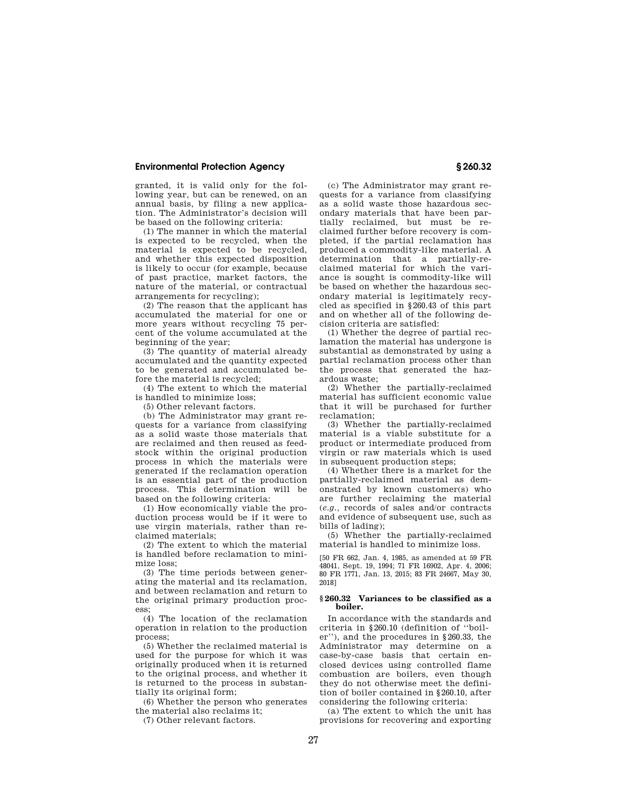granted, it is valid only for the following year, but can be renewed, on an annual basis, by filing a new application. The Administrator's decision will be based on the following criteria:

(1) The manner in which the material is expected to be recycled, when the material is expected to be recycled, and whether this expected disposition is likely to occur (for example, because of past practice, market factors, the nature of the material, or contractual arrangements for recycling);

(2) The reason that the applicant has accumulated the material for one or more years without recycling 75 percent of the volume accumulated at the beginning of the year;

(3) The quantity of material already accumulated and the quantity expected to be generated and accumulated before the material is recycled;

(4) The extent to which the material is handled to minimize loss;

(5) Other relevant factors.

(b) The Administrator may grant requests for a variance from classifying as a solid waste those materials that are reclaimed and then reused as feedstock within the original production process in which the materials were generated if the reclamation operation is an essential part of the production process. This determination will be based on the following criteria:

(1) How economically viable the production process would be if it were to use virgin materials, rather than reclaimed materials;

(2) The extent to which the material is handled before reclamation to minimize loss;

(3) The time periods between generating the material and its reclamation, and between reclamation and return to the original primary production process;

(4) The location of the reclamation operation in relation to the production process;

(5) Whether the reclaimed material is used for the purpose for which it was originally produced when it is returned to the original process, and whether it is returned to the process in substantially its original form;

(6) Whether the person who generates the material also reclaims it;

(7) Other relevant factors.

(c) The Administrator may grant requests for a variance from classifying as a solid waste those hazardous secondary materials that have been partially reclaimed, but must be reclaimed further before recovery is completed, if the partial reclamation has produced a commodity-like material. A determination that a partially-reclaimed material for which the variance is sought is commodity-like will be based on whether the hazardous secondary material is legitimately recycled as specified in §260.43 of this part and on whether all of the following decision criteria are satisfied:

(1) Whether the degree of partial reclamation the material has undergone is substantial as demonstrated by using a partial reclamation process other than the process that generated the hazardous waste;

(2) Whether the partially-reclaimed material has sufficient economic value that it will be purchased for further reclamation;

(3) Whether the partially-reclaimed material is a viable substitute for a product or intermediate produced from virgin or raw materials which is used in subsequent production steps;

(4) Whether there is a market for the partially-reclaimed material as demonstrated by known customer(s) who are further reclaiming the material (*e.g.,* records of sales and/or contracts and evidence of subsequent use, such as bills of lading);

(5) Whether the partially-reclaimed material is handled to minimize loss.

[50 FR 662, Jan. 4, 1985, as amended at 59 FR 48041, Sept. 19, 1994; 71 FR 16902, Apr. 4, 2006; 80 FR 1771, Jan. 13, 2015; 83 FR 24667, May 30, 2018]

### **§ 260.32 Variances to be classified as a boiler.**

In accordance with the standards and criteria in §260.10 (definition of ''boiler''), and the procedures in §260.33, the Administrator may determine on a case-by-case basis that certain enclosed devices using controlled flame combustion are boilers, even though they do not otherwise meet the definition of boiler contained in §260.10, after considering the following criteria:

(a) The extent to which the unit has provisions for recovering and exporting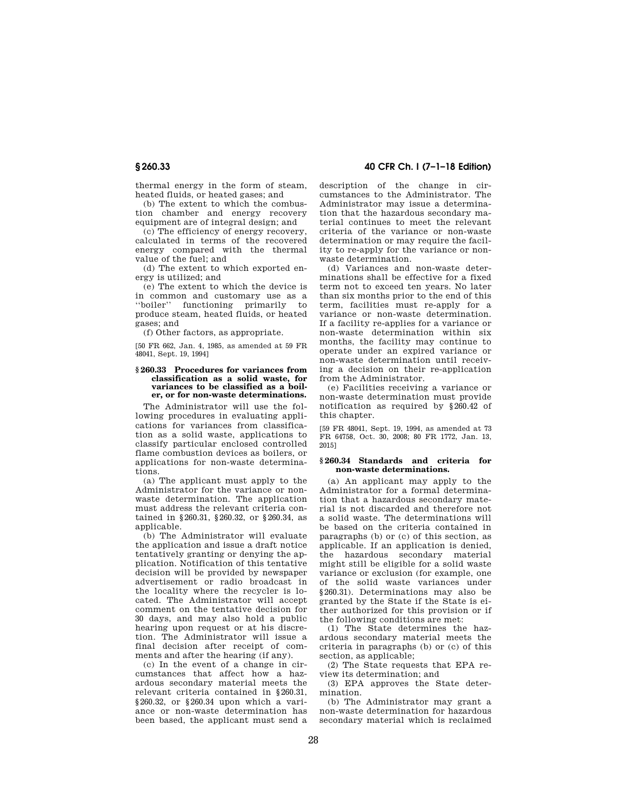thermal energy in the form of steam, heated fluids, or heated gases; and

(b) The extent to which the combustion chamber and energy recovery equipment are of integral design; and

(c) The efficiency of energy recovery, calculated in terms of the recovered energy compared with the thermal value of the fuel; and

(d) The extent to which exported energy is utilized; and

(e) The extent to which the device is in common and customary use as a ''boiler'' functioning primarily to produce steam, heated fluids, or heated gases; and

(f) Other factors, as appropriate.

[50 FR 662, Jan. 4, 1985, as amended at 59 FR 48041, Sept. 19, 1994]

### **§ 260.33 Procedures for variances from classification as a solid waste, for variances to be classified as a boiler, or for non-waste determinations.**

The Administrator will use the following procedures in evaluating applications for variances from classification as a solid waste, applications to classify particular enclosed controlled flame combustion devices as boilers, or applications for non-waste determinations.

(a) The applicant must apply to the Administrator for the variance or nonwaste determination. The application must address the relevant criteria contained in §260.31, §260.32, or §260.34, as applicable.

(b) The Administrator will evaluate the application and issue a draft notice tentatively granting or denying the application. Notification of this tentative decision will be provided by newspaper advertisement or radio broadcast in the locality where the recycler is located. The Administrator will accept comment on the tentative decision for 30 days, and may also hold a public hearing upon request or at his discretion. The Administrator will issue a final decision after receipt of comments and after the hearing (if any).

(c) In the event of a change in circumstances that affect how a hazardous secondary material meets the relevant criteria contained in §260.31, §260.32, or §260.34 upon which a variance or non-waste determination has been based, the applicant must send a

# **§ 260.33 40 CFR Ch. I (7–1–18 Edition)**

description of the change in circumstances to the Administrator. The Administrator may issue a determination that the hazardous secondary material continues to meet the relevant criteria of the variance or non-waste determination or may require the facility to re-apply for the variance or nonwaste determination.

(d) Variances and non-waste determinations shall be effective for a fixed term not to exceed ten years. No later than six months prior to the end of this term, facilities must re-apply for a variance or non-waste determination. If a facility re-applies for a variance or non-waste determination within six months, the facility may continue to operate under an expired variance or non-waste determination until receiving a decision on their re-application from the Administrator.

(e) Facilities receiving a variance or non-waste determination must provide notification as required by §260.42 of this chapter.

[59 FR 48041, Sept. 19, 1994, as amended at 73 FR 64758, Oct. 30, 2008; 80 FR 1772, Jan. 13, 2015]

### **§ 260.34 Standards and criteria for non-waste determinations.**

(a) An applicant may apply to the Administrator for a formal determination that a hazardous secondary material is not discarded and therefore not a solid waste. The determinations will be based on the criteria contained in paragraphs (b) or (c) of this section, as applicable. If an application is denied, the hazardous secondary material might still be eligible for a solid waste variance or exclusion (for example, one of the solid waste variances under §260.31). Determinations may also be granted by the State if the State is either authorized for this provision or if the following conditions are met:

(1) The State determines the hazardous secondary material meets the criteria in paragraphs (b) or (c) of this section, as applicable;

(2) The State requests that EPA review its determination; and

(3) EPA approves the State determination.

(b) The Administrator may grant a non-waste determination for hazardous secondary material which is reclaimed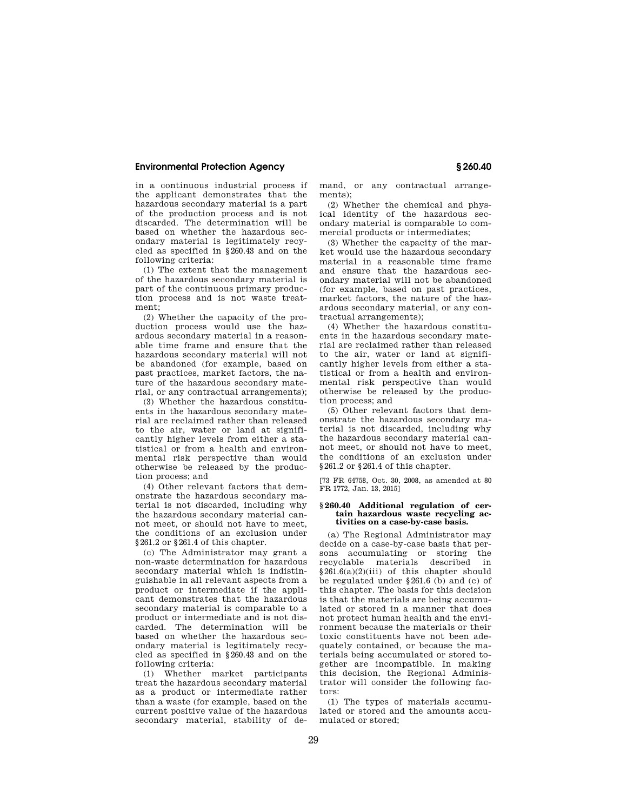in a continuous industrial process if the applicant demonstrates that the hazardous secondary material is a part of the production process and is not discarded. The determination will be based on whether the hazardous secondary material is legitimately recycled as specified in §260.43 and on the following criteria:

(1) The extent that the management of the hazardous secondary material is part of the continuous primary production process and is not waste treatment;

(2) Whether the capacity of the production process would use the hazardous secondary material in a reasonable time frame and ensure that the hazardous secondary material will not be abandoned (for example, based on past practices, market factors, the nature of the hazardous secondary material, or any contractual arrangements);

(3) Whether the hazardous constituents in the hazardous secondary material are reclaimed rather than released to the air, water or land at significantly higher levels from either a statistical or from a health and environmental risk perspective than would otherwise be released by the production process; and

(4) Other relevant factors that demonstrate the hazardous secondary material is not discarded, including why the hazardous secondary material cannot meet, or should not have to meet, the conditions of an exclusion under §261.2 or §261.4 of this chapter.

(c) The Administrator may grant a non-waste determination for hazardous secondary material which is indistinguishable in all relevant aspects from a product or intermediate if the applicant demonstrates that the hazardous secondary material is comparable to a product or intermediate and is not discarded. The determination will be based on whether the hazardous secondary material is legitimately recycled as specified in §260.43 and on the following criteria:

(1) Whether market participants treat the hazardous secondary material as a product or intermediate rather than a waste (for example, based on the current positive value of the hazardous secondary material, stability of demand, or any contractual arrangements)<sup>.</sup>

(2) Whether the chemical and physical identity of the hazardous secondary material is comparable to commercial products or intermediates;

(3) Whether the capacity of the market would use the hazardous secondary material in a reasonable time frame and ensure that the hazardous secondary material will not be abandoned (for example, based on past practices, market factors, the nature of the hazardous secondary material, or any contractual arrangements);

(4) Whether the hazardous constituents in the hazardous secondary material are reclaimed rather than released to the air, water or land at significantly higher levels from either a statistical or from a health and environmental risk perspective than would otherwise be released by the production process; and

(5) Other relevant factors that demonstrate the hazardous secondary material is not discarded, including why the hazardous secondary material cannot meet, or should not have to meet, the conditions of an exclusion under §261.2 or §261.4 of this chapter.

[73 FR 64758, Oct. 30, 2008, as amended at 80 FR 1772, Jan. 13, 2015]

### **§ 260.40 Additional regulation of certain hazardous waste recycling activities on a case-by-case basis.**

(a) The Regional Administrator may decide on a case-by-case basis that persons accumulating or storing the recyclable materials described in §261.6(a)(2)(iii) of this chapter should be regulated under §261.6 (b) and (c) of this chapter. The basis for this decision is that the materials are being accumulated or stored in a manner that does not protect human health and the environment because the materials or their toxic constituents have not been adequately contained, or because the materials being accumulated or stored together are incompatible. In making this decision, the Regional Administrator will consider the following factors:

(1) The types of materials accumulated or stored and the amounts accumulated or stored;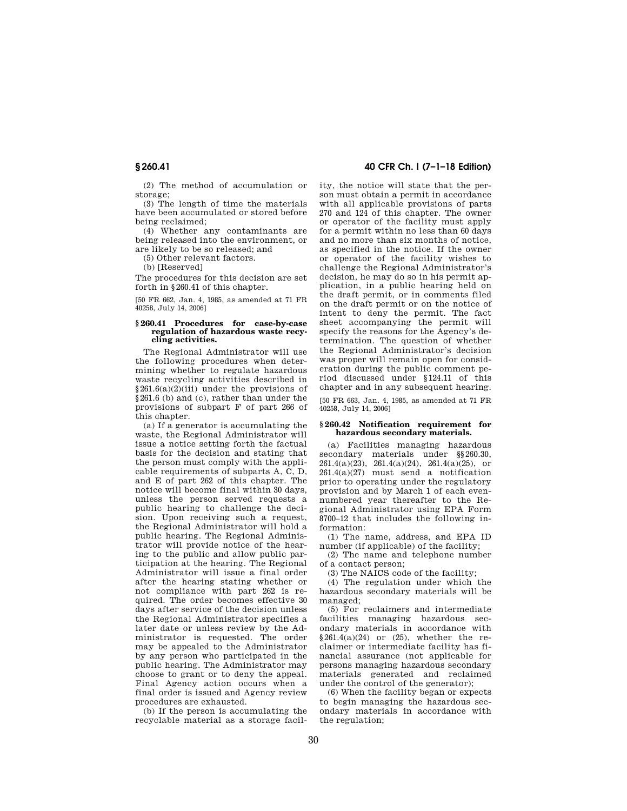(2) The method of accumulation or storage;

(3) The length of time the materials have been accumulated or stored before being reclaimed;

(4) Whether any contaminants are being released into the environment, or are likely to be so released; and

(5) Other relevant factors.

(b) [Reserved]

The procedures for this decision are set forth in §260.41 of this chapter.

[50 FR 662, Jan. 4, 1985, as amended at 71 FR 40258, July 14, 2006]

### **§ 260.41 Procedures for case-by-case regulation of hazardous waste recycling activities.**

The Regional Administrator will use the following procedures when determining whether to regulate hazardous waste recycling activities described in  $§261.6(a)(2)(iii)$  under the provisions of §261.6 (b) and (c), rather than under the provisions of subpart F of part 266 of this chapter.

(a) If a generator is accumulating the waste, the Regional Administrator will issue a notice setting forth the factual basis for the decision and stating that the person must comply with the applicable requirements of subparts A, C, D, and E of part 262 of this chapter. The notice will become final within 30 days, unless the person served requests a public hearing to challenge the decision. Upon receiving such a request, the Regional Administrator will hold a public hearing. The Regional Administrator will provide notice of the hearing to the public and allow public participation at the hearing. The Regional Administrator will issue a final order after the hearing stating whether or not compliance with part 262 is required. The order becomes effective 30 days after service of the decision unless the Regional Administrator specifies a later date or unless review by the Administrator is requested. The order may be appealed to the Administrator by any person who participated in the public hearing. The Administrator may choose to grant or to deny the appeal. Final Agency action occurs when a final order is issued and Agency review procedures are exhausted.

(b) If the person is accumulating the recyclable material as a storage facil-

# **§ 260.41 40 CFR Ch. I (7–1–18 Edition)**

ity, the notice will state that the person must obtain a permit in accordance with all applicable provisions of parts 270 and 124 of this chapter. The owner or operator of the facility must apply for a permit within no less than 60 days and no more than six months of notice, as specified in the notice. If the owner or operator of the facility wishes to challenge the Regional Administrator's decision, he may do so in his permit application, in a public hearing held on the draft permit, or in comments filed on the draft permit or on the notice of intent to deny the permit. The fact sheet accompanying the permit will specify the reasons for the Agency's determination. The question of whether the Regional Administrator's decision was proper will remain open for consideration during the public comment period discussed under §124.11 of this chapter and in any subsequent hearing.

[50 FR 663, Jan. 4, 1985, as amended at 71 FR 40258, July 14, 2006]

### **§ 260.42 Notification requirement for hazardous secondary materials.**

(a) Facilities managing hazardous secondary materials under §§260.30,  $261.4(a)(23)$ ,  $261.4(a)(24)$ ,  $261.4(a)(25)$ , or 261.4(a)(27) must send a notification prior to operating under the regulatory provision and by March 1 of each evennumbered year thereafter to the Regional Administrator using EPA Form 8700–12 that includes the following information:

(1) The name, address, and EPA ID number (if applicable) of the facility;

(2) The name and telephone number of a contact person;

(3) The NAICS code of the facility;

(4) The regulation under which the hazardous secondary materials will be managed;

(5) For reclaimers and intermediate facilities managing hazardous secondary materials in accordance with §261.4(a)(24) or (25), whether the reclaimer or intermediate facility has financial assurance (not applicable for persons managing hazardous secondary materials generated and reclaimed under the control of the generator);

(6) When the facility began or expects to begin managing the hazardous secondary materials in accordance with the regulation;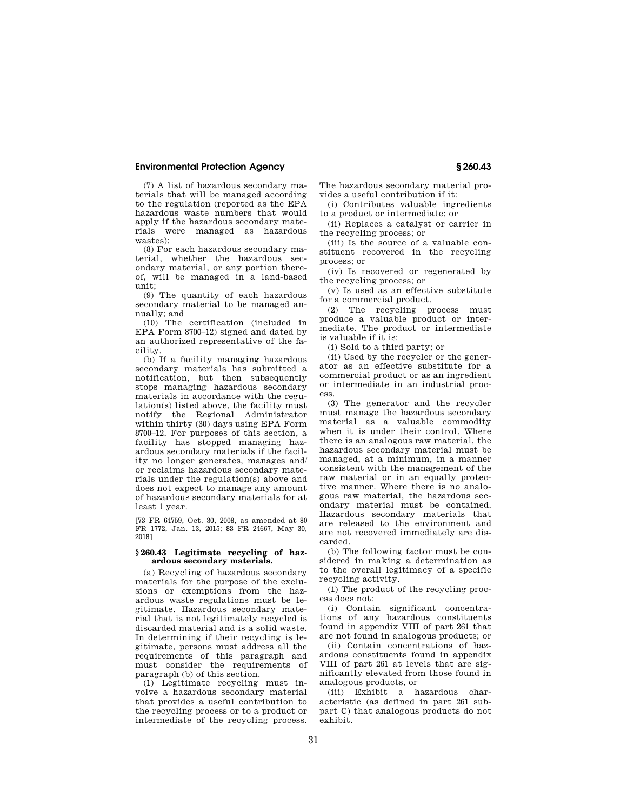(7) A list of hazardous secondary materials that will be managed according to the regulation (reported as the EPA hazardous waste numbers that would apply if the hazardous secondary materials were managed as hazardous wastes);

(8) For each hazardous secondary material, whether the hazardous secondary material, or any portion thereof, will be managed in a land-based unit;

(9) The quantity of each hazardous secondary material to be managed annually; and

(10) The certification (included in EPA Form 8700–12) signed and dated by an authorized representative of the facility.

(b) If a facility managing hazardous secondary materials has submitted a notification, but then subsequently stops managing hazardous secondary materials in accordance with the regulation(s) listed above, the facility must notify the Regional Administrator within thirty (30) days using EPA Form 8700–12. For purposes of this section, a facility has stopped managing hazardous secondary materials if the facility no longer generates, manages and/ or reclaims hazardous secondary materials under the regulation(s) above and does not expect to manage any amount of hazardous secondary materials for at least 1 year.

[73 FR 64759, Oct. 30, 2008, as amended at 80 FR 1772, Jan. 13, 2015; 83 FR 24667, May 30, 2018]

### **§ 260.43 Legitimate recycling of hazardous secondary materials.**

(a) Recycling of hazardous secondary materials for the purpose of the exclusions or exemptions from the hazardous waste regulations must be legitimate. Hazardous secondary material that is not legitimately recycled is discarded material and is a solid waste. In determining if their recycling is legitimate, persons must address all the requirements of this paragraph and must consider the requirements of paragraph (b) of this section.

(1) Legitimate recycling must involve a hazardous secondary material that provides a useful contribution to the recycling process or to a product or intermediate of the recycling process. The hazardous secondary material provides a useful contribution if it:

(i) Contributes valuable ingredients to a product or intermediate; or

(ii) Replaces a catalyst or carrier in the recycling process; or

(iii) Is the source of a valuable constituent recovered in the recycling process; or

(iv) Is recovered or regenerated by the recycling process; or

(v) Is used as an effective substitute for a commercial product.

(2) The recycling process must produce a valuable product or intermediate. The product or intermediate is valuable if it is:

(i) Sold to a third party; or

(ii) Used by the recycler or the generator as an effective substitute for a commercial product or as an ingredient or intermediate in an industrial process.

(3) The generator and the recycler must manage the hazardous secondary material as a valuable commodity when it is under their control. Where there is an analogous raw material, the hazardous secondary material must be managed, at a minimum, in a manner consistent with the management of the raw material or in an equally protective manner. Where there is no analogous raw material, the hazardous secondary material must be contained. Hazardous secondary materials that are released to the environment and are not recovered immediately are discarded.

(b) The following factor must be considered in making a determination as to the overall legitimacy of a specific recycling activity.

(1) The product of the recycling process does not:

(i) Contain significant concentrations of any hazardous constituents found in appendix VIII of part 261 that are not found in analogous products; or

(ii) Contain concentrations of hazardous constituents found in appendix VIII of part 261 at levels that are significantly elevated from those found in analogous products, or

(iii) Exhibit a hazardous characteristic (as defined in part 261 subpart C) that analogous products do not exhibit.